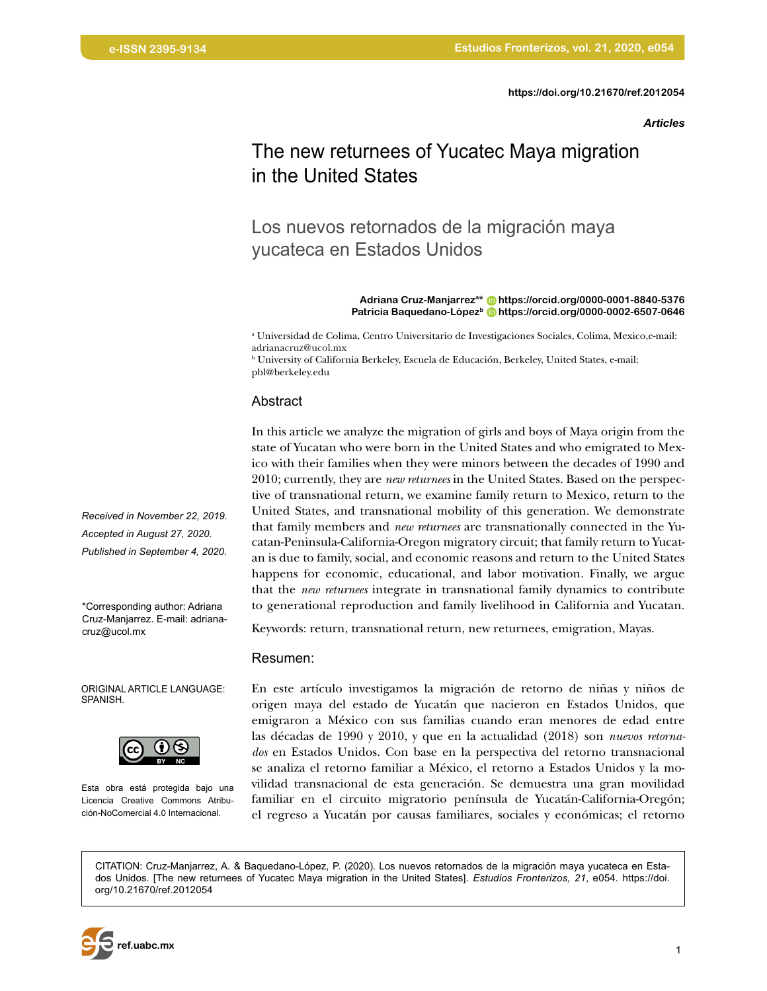*Articles*

# The new returnees of Yucatec Maya migration in the United States

# Los nuevos retornados de la migración maya yucateca en Estados Unidos

#### **Adriana Cruz-Manjarreza\* <https://orcid.org/0000-0001-8840-5376> Patricia Baquedano-Lópezb <https://orcid.org/0000-0002-6507-0646>**

a Universidad de Colima, Centro Universitario de Investigaciones Sociales, Colima, Mexico,e-mail: adrianacruz@ucol.mx

b University of California Berkeley, Escuela de Educación, Berkeley, United States, e-mail: pbl@berkeley.edu

#### Abstract

In this article we analyze the migration of girls and boys of Maya origin from the state of Yucatan who were born in the United States and who emigrated to Mexico with their families when they were minors between the decades of 1990 and 2010; currently, they are *new returnees* in the United States. Based on the perspective of transnational return, we examine family return to Mexico, return to the United States, and transnational mobility of this generation. We demonstrate that family members and *new returnees* are transnationally connected in the Yucatan-Peninsula-California-Oregon migratory circuit; that family return to Yucatan is due to family, social, and economic reasons and return to the United States happens for economic, educational, and labor motivation. Finally, we argue that the *new returnees* integrate in transnational family dynamics to contribute to generational reproduction and family livelihood in California and Yucatan.

Keywords: return, transnational return, new returnees, emigration, Mayas.

#### Resumen:

En este artículo investigamos la migración de retorno de niñas y niños de origen maya del estado de Yucatán que nacieron en Estados Unidos, que emigraron a México con sus familias cuando eran menores de edad entre las décadas de 1990 y 2010, y que en la actualidad (2018) son *nuevos retornados* en Estados Unidos. Con base en la perspectiva del retorno transnacional se analiza el retorno familiar a México, el retorno a Estados Unidos y la movilidad transnacional de esta generación. Se demuestra una gran movilidad familiar en el circuito migratorio península de Yucatán-California-Oregón; el regreso a Yucatán por causas familiares, sociales y económicas; el retorno

CITATION: Cruz-Manjarrez, A. & Baquedano-López, P. (2020). Los nuevos retornados de la migración maya yucateca en Estados Unidos. [The new returnees of Yucatec Maya migration in the United States]. *Estudios Fronterizos, 21*, e054. [https://doi.](https://doi.org/10.21670/ref.2012054) [org/10.21670/ref.2012054](https://doi.org/10.21670/ref.2012054)



\*Corresponding author: Adriana Cruz-Manjarrez. E-mail: adrianacruz@ucol.mx

ORIGINAL ARTICLE LANGUAGE: SPANISH.



Esta obra está protegida bajo una Licencia Creative Commons Atribución-NoComercial 4.0 Internacional.

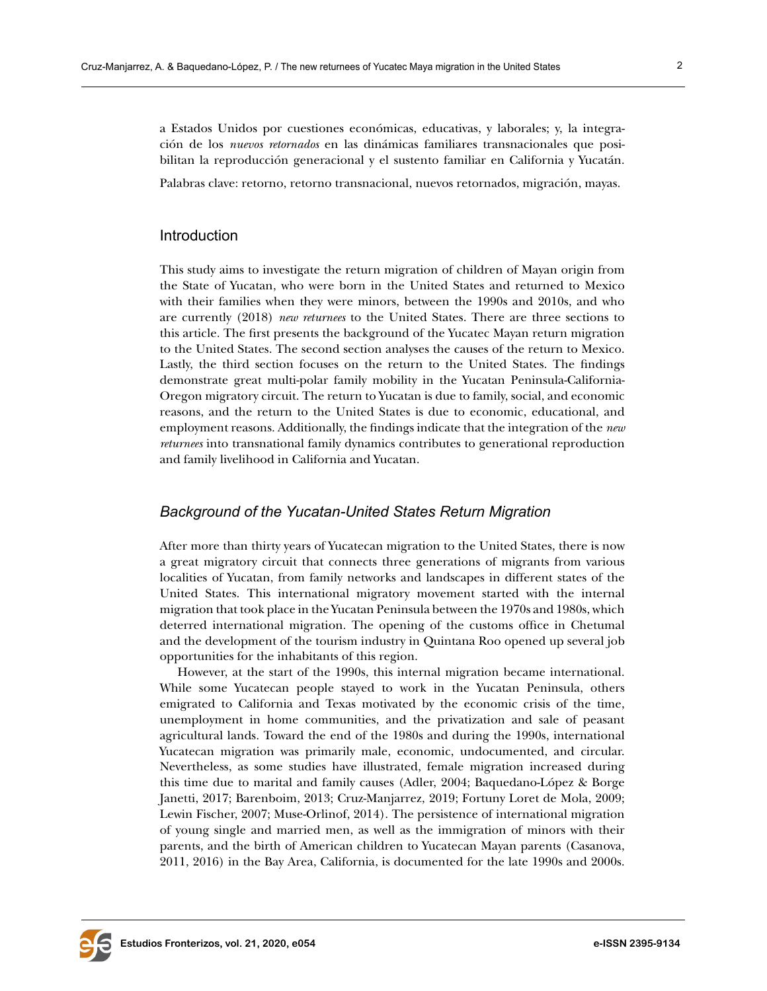a Estados Unidos por cuestiones económicas, educativas, y laborales; y, la integración de los *nuevos retornados* en las dinámicas familiares transnacionales que posibilitan la reproducción generacional y el sustento familiar en California y Yucatán.

Palabras clave: retorno, retorno transnacional, nuevos retornados, migración, mayas.

## Introduction

This study aims to investigate the return migration of children of Mayan origin from the State of Yucatan, who were born in the United States and returned to Mexico with their families when they were minors, between the 1990s and 2010s, and who are currently (2018) *new returnees* to the United States. There are three sections to this article. The first presents the background of the Yucatec Mayan return migration to the United States. The second section analyses the causes of the return to Mexico. Lastly, the third section focuses on the return to the United States. The findings demonstrate great multi-polar family mobility in the Yucatan Peninsula-California-Oregon migratory circuit. The return to Yucatan is due to family, social, and economic reasons, and the return to the United States is due to economic, educational, and employment reasons. Additionally, the findings indicate that the integration of the *new returnees* into transnational family dynamics contributes to generational reproduction and family livelihood in California and Yucatan.

### *Background of the Yucatan-United States Return Migration*

After more than thirty years of Yucatecan migration to the United States, there is now a great migratory circuit that connects three generations of migrants from various localities of Yucatan, from family networks and landscapes in different states of the United States. This international migratory movement started with the internal migration that took place in the Yucatan Peninsula between the 1970s and 1980s, which deterred international migration. The opening of the customs office in Chetumal and the development of the tourism industry in Quintana Roo opened up several job opportunities for the inhabitants of this region.

However, at the start of the 1990s, this internal migration became international. While some Yucatecan people stayed to work in the Yucatan Peninsula, others emigrated to California and Texas motivated by the economic crisis of the time, unemployment in home communities, and the privatization and sale of peasant agricultural lands. Toward the end of the 1980s and during the 1990s, international Yucatecan migration was primarily male, economic, undocumented, and circular. Nevertheless, as some studies have illustrated, female migration increased during this time due to marital and family causes (Adler, 2004; Baquedano-López & Borge Janetti, 2017; Barenboim, 2013; Cruz-Manjarrez, 2019; Fortuny Loret de Mola, 2009; Lewin Fischer, 2007; Muse-Orlinof, 2014). The persistence of international migration of young single and married men, as well as the immigration of minors with their parents, and the birth of American children to Yucatecan Mayan parents (Casanova, 2011, 2016) in the Bay Area, California, is documented for the late 1990s and 2000s.

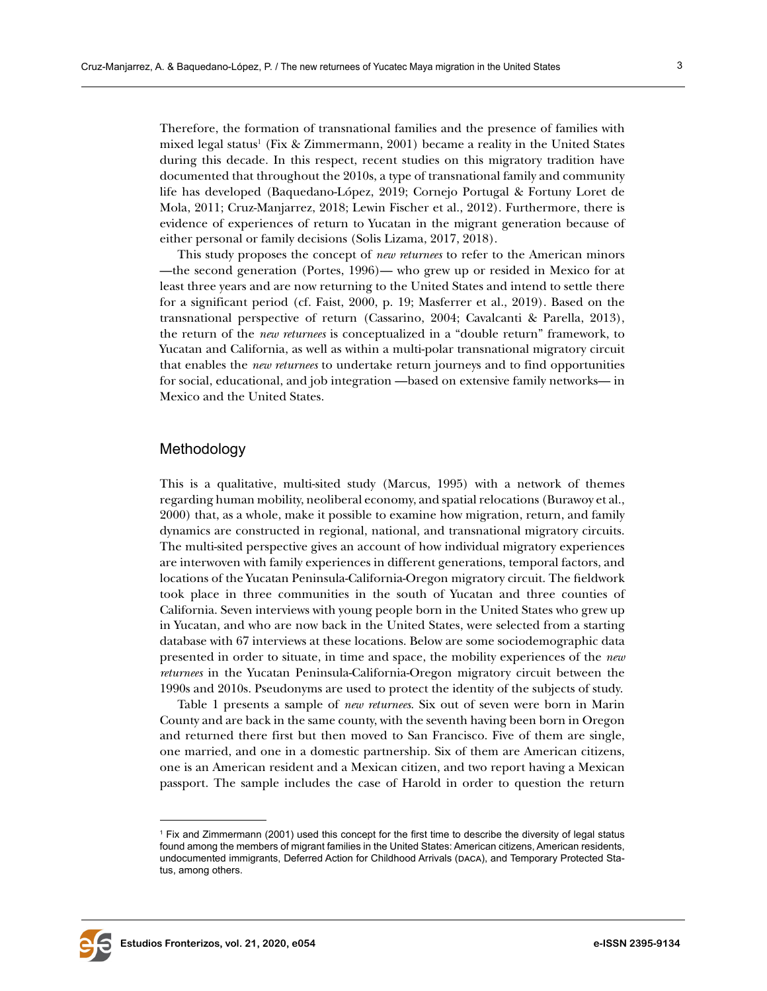Therefore, the formation of transnational families and the presence of families with mixed legal status<sup>1</sup> (Fix & Zimmermann, 2001) became a reality in the United States during this decade. In this respect, recent studies on this migratory tradition have documented that throughout the 2010s, a type of transnational family and community life has developed (Baquedano-López, 2019; Cornejo Portugal & Fortuny Loret de Mola, 2011; Cruz-Manjarrez, 2018; Lewin Fischer et al., 2012). Furthermore, there is evidence of experiences of return to Yucatan in the migrant generation because of either personal or family decisions (Solis Lizama, 2017, 2018).

This study proposes the concept of *new returnees* to refer to the American minors —the second generation (Portes, 1996)— who grew up or resided in Mexico for at least three years and are now returning to the United States and intend to settle there for a significant period (cf. Faist, 2000, p. 19; Masferrer et al., 2019). Based on the transnational perspective of return (Cassarino, 2004; Cavalcanti & Parella, 2013), the return of the *new returnees* is conceptualized in a "double return" framework, to Yucatan and California, as well as within a multi-polar transnational migratory circuit that enables the *new returnees* to undertake return journeys and to find opportunities for social, educational, and job integration —based on extensive family networks— in Mexico and the United States.

### Methodology

This is a qualitative, multi-sited study (Marcus, 1995) with a network of themes regarding human mobility, neoliberal economy, and spatial relocations (Burawoy et al., 2000) that, as a whole, make it possible to examine how migration, return, and family dynamics are constructed in regional, national, and transnational migratory circuits. The multi-sited perspective gives an account of how individual migratory experiences are interwoven with family experiences in different generations, temporal factors, and locations of the Yucatan Peninsula-California-Oregon migratory circuit. The fieldwork took place in three communities in the south of Yucatan and three counties of California. Seven interviews with young people born in the United States who grew up in Yucatan, and who are now back in the United States, were selected from a starting database with 67 interviews at these locations. Below are some sociodemographic data presented in order to situate, in time and space, the mobility experiences of the *new returnees* in the Yucatan Peninsula-California-Oregon migratory circuit between the 1990s and 2010s. Pseudonyms are used to protect the identity of the subjects of study.

Table 1 presents a sample of *new returnees*. Six out of seven were born in Marin County and are back in the same county, with the seventh having been born in Oregon and returned there first but then moved to San Francisco. Five of them are single, one married, and one in a domestic partnership. Six of them are American citizens, one is an American resident and a Mexican citizen, and two report having a Mexican passport. The sample includes the case of Harold in order to question the return



<sup>1</sup> Fix and Zimmermann (2001) used this concept for the first time to describe the diversity of legal status found among the members of migrant families in the United States: American citizens, American residents, undocumented immigrants, Deferred Action for Childhood Arrivals (daca), and Temporary Protected Status, among others.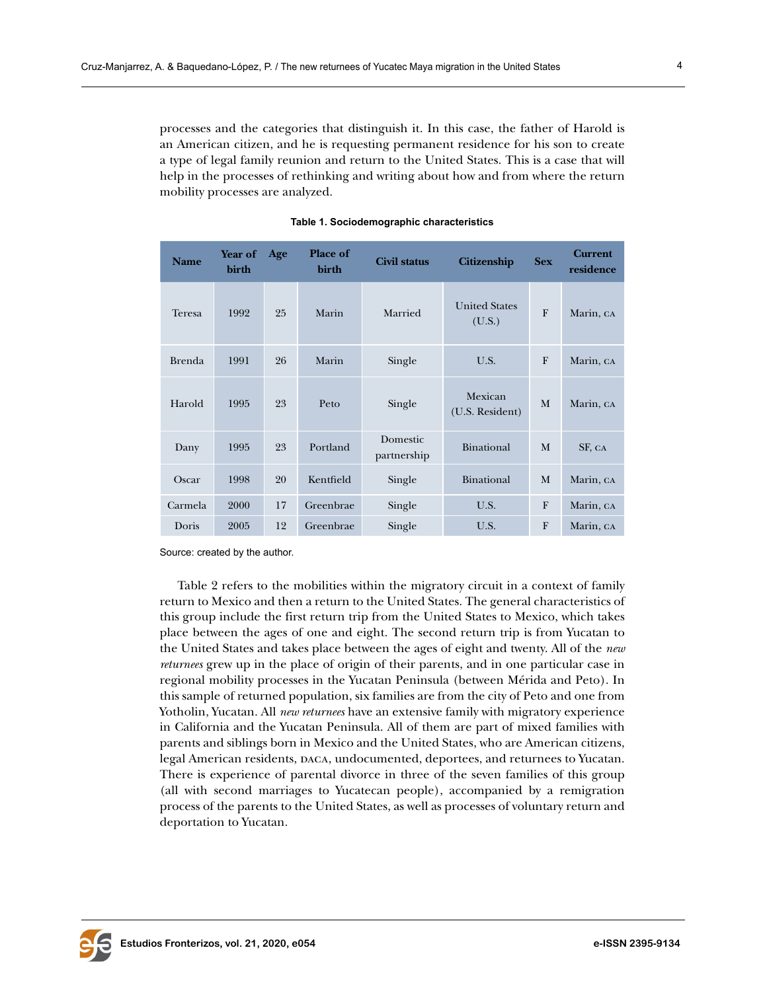processes and the categories that distinguish it. In this case, the father of Harold is an American citizen, and he is requesting permanent residence for his son to create a type of legal family reunion and return to the United States. This is a case that will help in the processes of rethinking and writing about how and from where the return mobility processes are analyzed.

| <b>Name</b> | Year of<br>birth | Age | Place of<br>birth | <b>Civil status</b>     | <b>Citizenship</b>             | <b>Sex</b>   | <b>Current</b><br>residence |
|-------------|------------------|-----|-------------------|-------------------------|--------------------------------|--------------|-----------------------------|
| Teresa      | 1992             | 25  | Marin             | Married                 | <b>United States</b><br>(U.S.) | $\mathbf{F}$ | Marin, CA                   |
| Brenda      | 1991             | 26  | Marin             | Single                  | U.S.                           | F            | Marin, CA                   |
| Harold      | 1995             | 23  | Peto              | Single                  | Mexican<br>(U.S. Resident)     | M            | Marin, CA                   |
| Dany        | 1995             | 23  | Portland          | Domestic<br>partnership | Binational                     | M            | SF, CA                      |
| Oscar       | 1998             | 20  | Kentfield         | Single                  | Binational                     | M            | Marin, CA                   |
| Carmela     | 2000             | 17  | Greenbrae         | Single                  | U.S.                           | $\mathbf{F}$ | Marin, CA                   |
| Doris       | 2005             | 12  | Greenbrae         | Single                  | U.S.                           | $\mathbf{F}$ | Marin, CA                   |

|  | Table 1. Sociodemographic characteristics |
|--|-------------------------------------------|
|--|-------------------------------------------|

Source: created by the author.

Table 2 refers to the mobilities within the migratory circuit in a context of family return to Mexico and then a return to the United States. The general characteristics of this group include the first return trip from the United States to Mexico, which takes place between the ages of one and eight. The second return trip is from Yucatan to the United States and takes place between the ages of eight and twenty. All of the *new returnees* grew up in the place of origin of their parents, and in one particular case in regional mobility processes in the Yucatan Peninsula (between Mérida and Peto). In this sample of returned population, six families are from the city of Peto and one from Yotholin, Yucatan. All *new returnees* have an extensive family with migratory experience in California and the Yucatan Peninsula. All of them are part of mixed families with parents and siblings born in Mexico and the United States, who are American citizens, legal American residents, daca, undocumented, deportees, and returnees to Yucatan. There is experience of parental divorce in three of the seven families of this group (all with second marriages to Yucatecan people), accompanied by a remigration process of the parents to the United States, as well as processes of voluntary return and deportation to Yucatan.

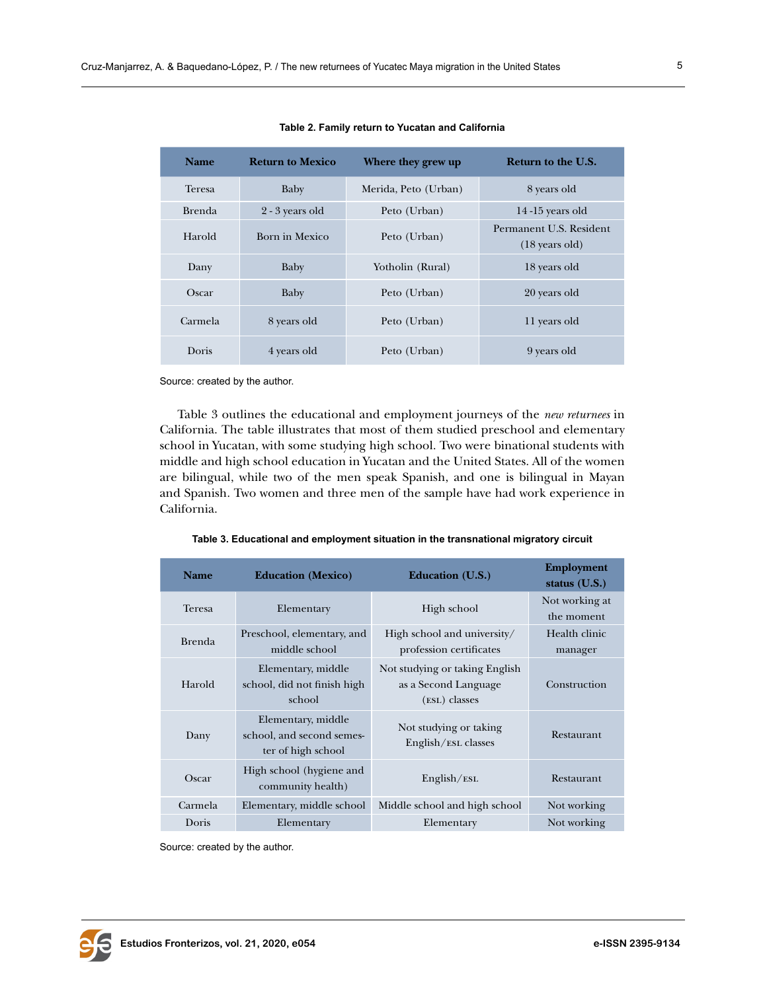Harold Born in Mexico Peto (Urban)

| Table 2. Family return to Yucatan and California |                         |                      |                           |  |  |  |  |
|--------------------------------------------------|-------------------------|----------------------|---------------------------|--|--|--|--|
| Name                                             | <b>Return to Mexico</b> | Where they grew up   | <b>Return to the U.S.</b> |  |  |  |  |
| Teresa                                           | Baby                    | Merida, Peto (Urban) | 8 years old               |  |  |  |  |
| Brenda                                           | $2 - 3$ years old       | Peto (Urban)         | $14-15$ years old         |  |  |  |  |

Permanent U.S. Resident (18 years old)

**Table 2. Family return** 

Dany Baby Yotholin (Rural) 18 years old

Oscar Baby Peto (Urban) 20 years old

Carmela 8 years old Peto (Urban) 11 years old

Doris 4 years old Peto (Urban) 9 years old

Source: created by the author.

Table 3 outlines the educational and employment journeys of the *new returnees* in California. The table illustrates that most of them studied preschool and elementary school in Yucatan, with some studying high school. Two were binational students with middle and high school education in Yucatan and the United States. All of the women are bilingual, while two of the men speak Spanish, and one is bilingual in Mayan and Spanish. Two women and three men of the sample have had work experience in California.

**Table 3. Educational and employment situation in the transnational migratory circuit**

| <b>Name</b>   | <b>Education</b> (Mexico)                                             | <b>Education</b> (U.S.)                                                 | <b>Employment</b><br>status $(U.S.)$ |
|---------------|-----------------------------------------------------------------------|-------------------------------------------------------------------------|--------------------------------------|
| <b>Teresa</b> | Elementary                                                            | High school                                                             | Not working at<br>the moment         |
| <b>Brenda</b> | Preschool, elementary, and<br>middle school                           | High school and university/<br>profession certificates                  | Health clinic<br>manager             |
| Harold        | Elementary, middle<br>school, did not finish high<br>school           | Not studying or taking English<br>as a Second Language<br>(ESL) classes | Construction                         |
| Dany          | Elementary, middle<br>school, and second semes-<br>ter of high school | Not studying or taking<br>English/ESL classes                           | Restaurant                           |
| Oscar         | High school (hygiene and<br>community health)                         | English/ESL                                                             | Restaurant                           |
| Carmela       | Elementary, middle school                                             | Middle school and high school                                           | Not working                          |
| Doris         | Elementary                                                            | Elementary                                                              | Not working                          |

Source: created by the author.

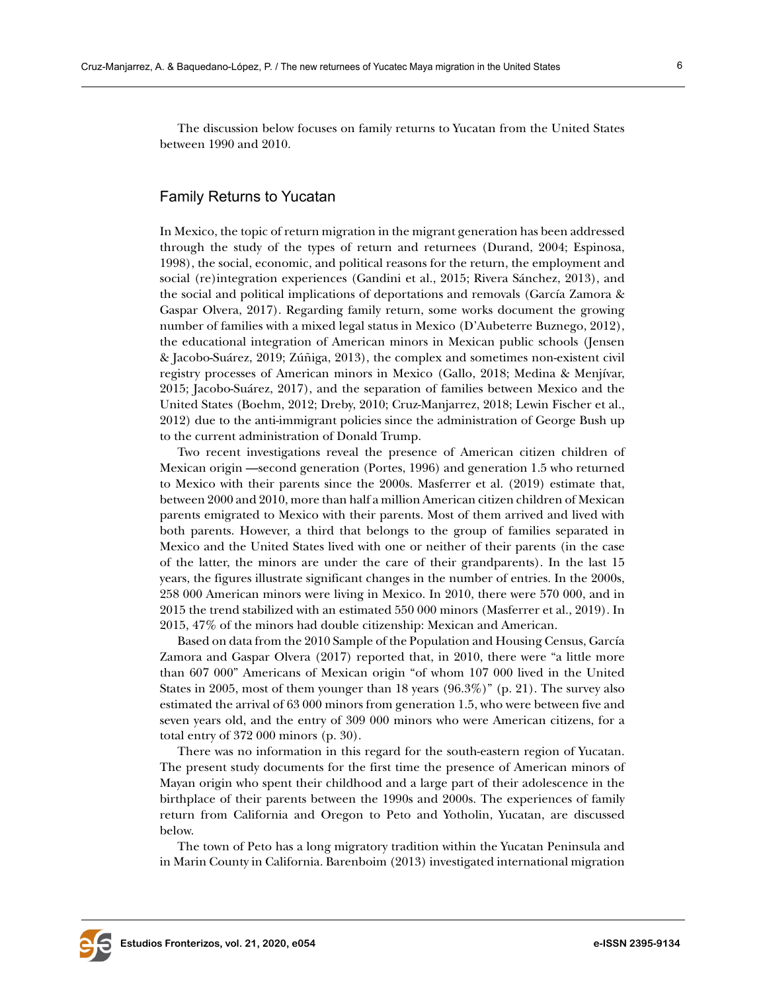The discussion below focuses on family returns to Yucatan from the United States between 1990 and 2010.

## Family Returns to Yucatan

In Mexico, the topic of return migration in the migrant generation has been addressed through the study of the types of return and returnees (Durand, 2004; Espinosa, 1998), the social, economic, and political reasons for the return, the employment and social (re)integration experiences (Gandini et al., 2015; Rivera Sánchez, 2013), and the social and political implications of deportations and removals (García Zamora & Gaspar Olvera, 2017). Regarding family return, some works document the growing number of families with a mixed legal status in Mexico (D'Aubeterre Buznego, 2012), the educational integration of American minors in Mexican public schools (Jensen & Jacobo-Suárez, 2019; Zúñiga, 2013), the complex and sometimes non-existent civil registry processes of American minors in Mexico (Gallo, 2018; Medina & Menjívar, 2015; Jacobo-Suárez, 2017), and the separation of families between Mexico and the United States (Boehm, 2012; Dreby, 2010; Cruz-Manjarrez, 2018; Lewin Fischer et al., 2012) due to the anti-immigrant policies since the administration of George Bush up to the current administration of Donald Trump.

Two recent investigations reveal the presence of American citizen children of Mexican origin —second generation (Portes, 1996) and generation 1.5 who returned to Mexico with their parents since the 2000s. Masferrer et al. (2019) estimate that, between 2000 and 2010, more than half a million American citizen children of Mexican parents emigrated to Mexico with their parents. Most of them arrived and lived with both parents. However, a third that belongs to the group of families separated in Mexico and the United States lived with one or neither of their parents (in the case of the latter, the minors are under the care of their grandparents). In the last 15 years, the figures illustrate significant changes in the number of entries. In the 2000s, 258 000 American minors were living in Mexico. In 2010, there were 570 000, and in 2015 the trend stabilized with an estimated 550 000 minors (Masferrer et al., 2019). In 2015, 47% of the minors had double citizenship: Mexican and American.

Based on data from the 2010 Sample of the Population and Housing Census, García Zamora and Gaspar Olvera (2017) reported that, in 2010, there were "a little more than 607 000" Americans of Mexican origin "of whom 107 000 lived in the United States in 2005, most of them younger than 18 years (96.3%)" (p. 21). The survey also estimated the arrival of 63 000 minors from generation 1.5, who were between five and seven years old, and the entry of 309 000 minors who were American citizens, for a total entry of 372 000 minors (p. 30).

There was no information in this regard for the south-eastern region of Yucatan. The present study documents for the first time the presence of American minors of Mayan origin who spent their childhood and a large part of their adolescence in the birthplace of their parents between the 1990s and 2000s. The experiences of family return from California and Oregon to Peto and Yotholin, Yucatan, are discussed below.

The town of Peto has a long migratory tradition within the Yucatan Peninsula and in Marin County in California. Barenboim (2013) investigated international migration

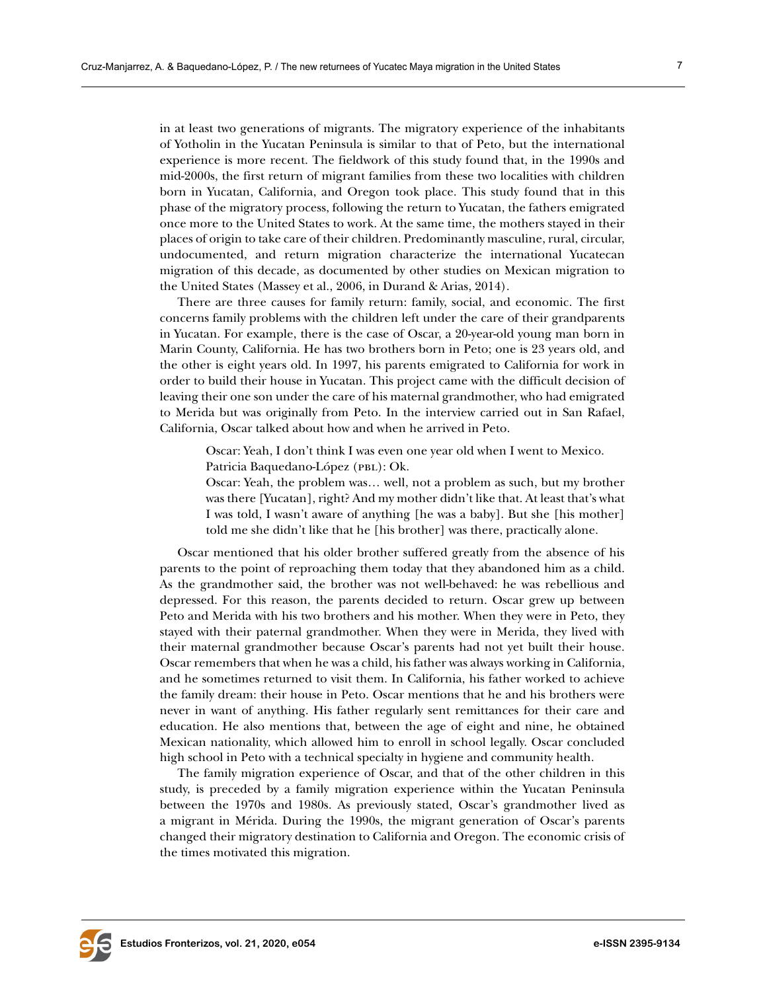in at least two generations of migrants. The migratory experience of the inhabitants of Yotholin in the Yucatan Peninsula is similar to that of Peto, but the international experience is more recent. The fieldwork of this study found that, in the 1990s and mid-2000s, the first return of migrant families from these two localities with children born in Yucatan, California, and Oregon took place. This study found that in this phase of the migratory process, following the return to Yucatan, the fathers emigrated once more to the United States to work. At the same time, the mothers stayed in their places of origin to take care of their children. Predominantly masculine, rural, circular, undocumented, and return migration characterize the international Yucatecan migration of this decade, as documented by other studies on Mexican migration to the United States (Massey et al., 2006, in Durand & Arias, 2014).

There are three causes for family return: family, social, and economic. The first concerns family problems with the children left under the care of their grandparents in Yucatan. For example, there is the case of Oscar, a 20-year-old young man born in Marin County, California. He has two brothers born in Peto; one is 23 years old, and the other is eight years old. In 1997, his parents emigrated to California for work in order to build their house in Yucatan. This project came with the difficult decision of leaving their one son under the care of his maternal grandmother, who had emigrated to Merida but was originally from Peto. In the interview carried out in San Rafael, California, Oscar talked about how and when he arrived in Peto.

Oscar: Yeah, I don't think I was even one year old when I went to Mexico. Patricia Baquedano-López (PBL): Ok.

Oscar: Yeah, the problem was… well, not a problem as such, but my brother was there [Yucatan], right? And my mother didn't like that. At least that's what I was told, I wasn't aware of anything [he was a baby]. But she [his mother] told me she didn't like that he [his brother] was there, practically alone.

Oscar mentioned that his older brother suffered greatly from the absence of his parents to the point of reproaching them today that they abandoned him as a child. As the grandmother said, the brother was not well-behaved: he was rebellious and depressed. For this reason, the parents decided to return. Oscar grew up between Peto and Merida with his two brothers and his mother. When they were in Peto, they stayed with their paternal grandmother. When they were in Merida, they lived with their maternal grandmother because Oscar's parents had not yet built their house. Oscar remembers that when he was a child, his father was always working in California, and he sometimes returned to visit them. In California, his father worked to achieve the family dream: their house in Peto. Oscar mentions that he and his brothers were never in want of anything. His father regularly sent remittances for their care and education. He also mentions that, between the age of eight and nine, he obtained Mexican nationality, which allowed him to enroll in school legally. Oscar concluded high school in Peto with a technical specialty in hygiene and community health.

The family migration experience of Oscar, and that of the other children in this study, is preceded by a family migration experience within the Yucatan Peninsula between the 1970s and 1980s. As previously stated, Oscar's grandmother lived as a migrant in Mérida. During the 1990s, the migrant generation of Oscar's parents changed their migratory destination to California and Oregon. The economic crisis of the times motivated this migration.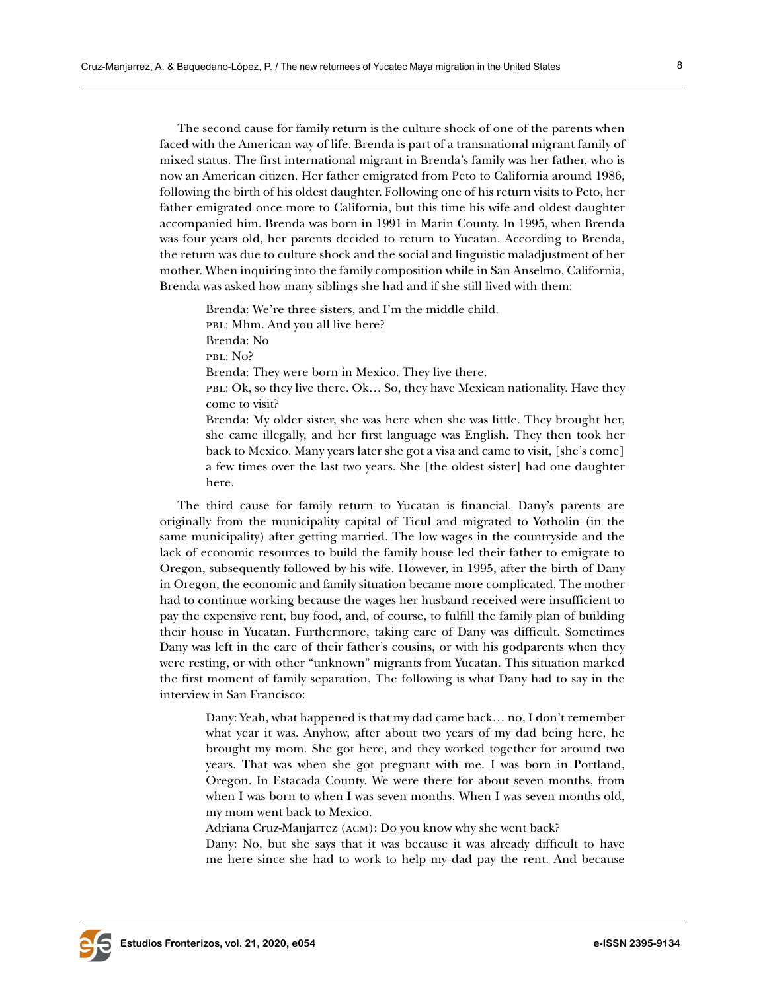The second cause for family return is the culture shock of one of the parents when faced with the American way of life. Brenda is part of a transnational migrant family of mixed status. The first international migrant in Brenda's family was her father, who is now an American citizen. Her father emigrated from Peto to California around 1986, following the birth of his oldest daughter. Following one of his return visits to Peto, her father emigrated once more to California, but this time his wife and oldest daughter accompanied him. Brenda was born in 1991 in Marin County. In 1995, when Brenda was four years old, her parents decided to return to Yucatan. According to Brenda, the return was due to culture shock and the social and linguistic maladjustment of her mother. When inquiring into the family composition while in San Anselmo, California, Brenda was asked how many siblings she had and if she still lived with them:

Brenda: We're three sisters, and I'm the middle child. PBL: Mhm. And you all live here? Brenda: No pbl: No? Brenda: They were born in Mexico. They live there. pbl: Ok, so they live there. Ok… So, they have Mexican nationality. Have they come to visit? Brenda: My older sister, she was here when she was little. They brought her, she came illegally, and her first language was English. They then took her back to Mexico. Many years later she got a visa and came to visit, [she's come] a few times over the last two years. She [the oldest sister] had one daughter here.

The third cause for family return to Yucatan is financial. Dany's parents are originally from the municipality capital of Ticul and migrated to Yotholin (in the same municipality) after getting married. The low wages in the countryside and the lack of economic resources to build the family house led their father to emigrate to Oregon, subsequently followed by his wife. However, in 1995, after the birth of Dany in Oregon, the economic and family situation became more complicated. The mother had to continue working because the wages her husband received were insufficient to pay the expensive rent, buy food, and, of course, to fulfill the family plan of building their house in Yucatan. Furthermore, taking care of Dany was difficult. Sometimes Dany was left in the care of their father's cousins, or with his godparents when they were resting, or with other "unknown" migrants from Yucatan. This situation marked the first moment of family separation. The following is what Dany had to say in the interview in San Francisco:

Dany: Yeah, what happened is that my dad came back… no, I don't remember what year it was. Anyhow, after about two years of my dad being here, he brought my mom. She got here, and they worked together for around two years. That was when she got pregnant with me. I was born in Portland, Oregon. In Estacada County. We were there for about seven months, from when I was born to when I was seven months. When I was seven months old, my mom went back to Mexico.

Adriana Cruz-Manjarrez (acm): Do you know why she went back?

Dany: No, but she says that it was because it was already difficult to have me here since she had to work to help my dad pay the rent. And because

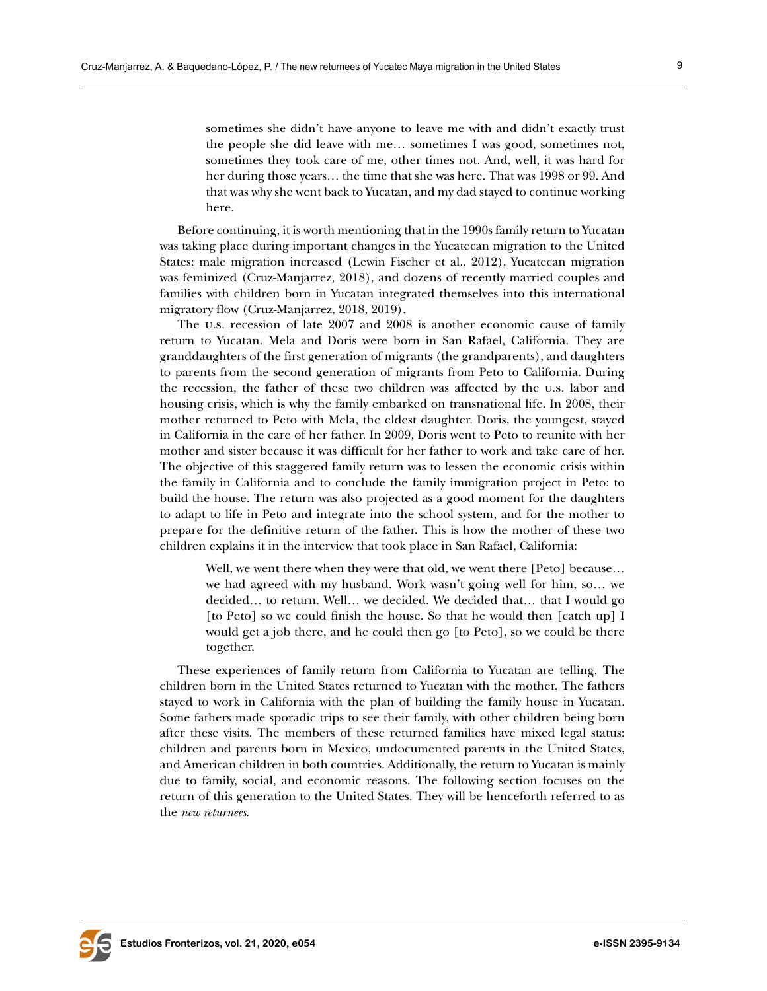sometimes she didn't have anyone to leave me with and didn't exactly trust the people she did leave with me… sometimes I was good, sometimes not, sometimes they took care of me, other times not. And, well, it was hard for her during those years… the time that she was here. That was 1998 or 99. And that was why she went back to Yucatan, and my dad stayed to continue working here.

Before continuing, it is worth mentioning that in the 1990s family return to Yucatan was taking place during important changes in the Yucatecan migration to the United States: male migration increased (Lewin Fischer et al., 2012), Yucatecan migration was feminized (Cruz-Manjarrez, 2018), and dozens of recently married couples and families with children born in Yucatan integrated themselves into this international migratory flow (Cruz-Manjarrez, 2018, 2019).

The u.s. recession of late 2007 and 2008 is another economic cause of family return to Yucatan. Mela and Doris were born in San Rafael, California. They are granddaughters of the first generation of migrants (the grandparents), and daughters to parents from the second generation of migrants from Peto to California. During the recession, the father of these two children was affected by the u.s. labor and housing crisis, which is why the family embarked on transnational life. In 2008, their mother returned to Peto with Mela, the eldest daughter. Doris, the youngest, stayed in California in the care of her father. In 2009, Doris went to Peto to reunite with her mother and sister because it was difficult for her father to work and take care of her. The objective of this staggered family return was to lessen the economic crisis within the family in California and to conclude the family immigration project in Peto: to build the house. The return was also projected as a good moment for the daughters to adapt to life in Peto and integrate into the school system, and for the mother to prepare for the definitive return of the father. This is how the mother of these two children explains it in the interview that took place in San Rafael, California:

Well, we went there when they were that old, we went there [Peto] because… we had agreed with my husband. Work wasn't going well for him, so… we decided… to return. Well… we decided. We decided that… that I would go [to Peto] so we could finish the house. So that he would then [catch up] I would get a job there, and he could then go [to Peto], so we could be there together.

These experiences of family return from California to Yucatan are telling. The children born in the United States returned to Yucatan with the mother. The fathers stayed to work in California with the plan of building the family house in Yucatan. Some fathers made sporadic trips to see their family, with other children being born after these visits. The members of these returned families have mixed legal status: children and parents born in Mexico, undocumented parents in the United States, and American children in both countries. Additionally, the return to Yucatan is mainly due to family, social, and economic reasons. The following section focuses on the return of this generation to the United States. They will be henceforth referred to as the *new returnees*.

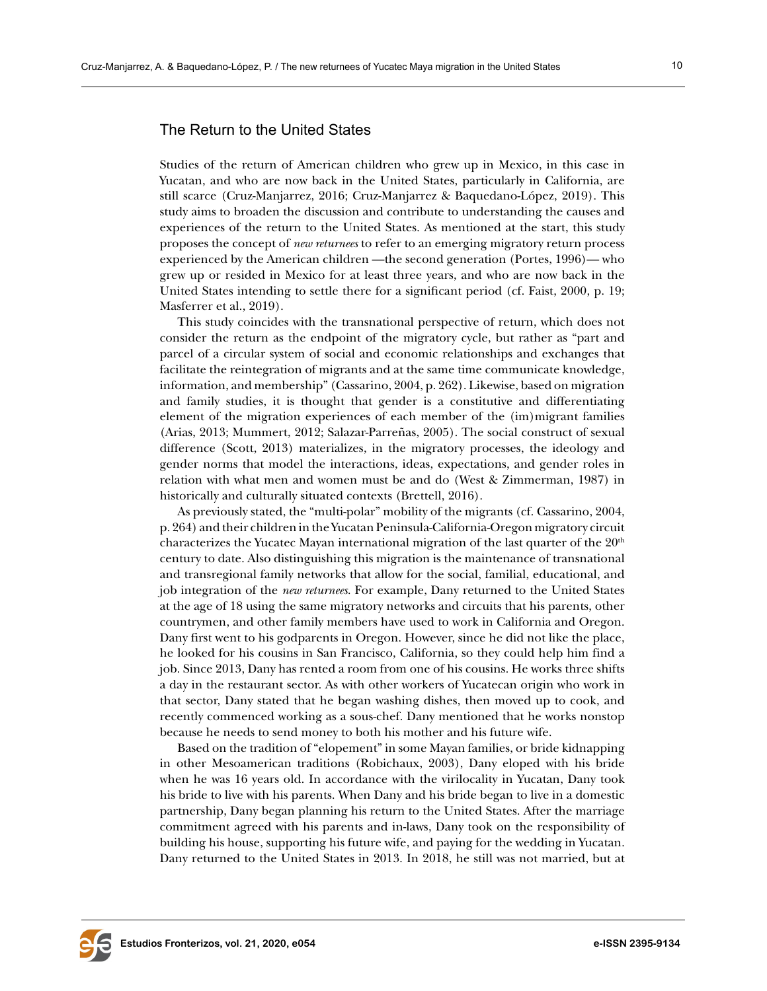# The Return to the United States

Studies of the return of American children who grew up in Mexico, in this case in Yucatan, and who are now back in the United States, particularly in California, are still scarce (Cruz-Manjarrez, 2016; Cruz-Manjarrez & Baquedano-López, 2019). This study aims to broaden the discussion and contribute to understanding the causes and experiences of the return to the United States. As mentioned at the start, this study proposes the concept of *new returnees* to refer to an emerging migratory return process experienced by the American children —the second generation (Portes, 1996)— who grew up or resided in Mexico for at least three years, and who are now back in the United States intending to settle there for a significant period (cf. Faist, 2000, p. 19; Masferrer et al., 2019).

This study coincides with the transnational perspective of return, which does not consider the return as the endpoint of the migratory cycle, but rather as "part and parcel of a circular system of social and economic relationships and exchanges that facilitate the reintegration of migrants and at the same time communicate knowledge, information, and membership" (Cassarino, 2004, p. 262). Likewise, based on migration and family studies, it is thought that gender is a constitutive and differentiating element of the migration experiences of each member of the (im)migrant families (Arias, 2013; Mummert, 2012; Salazar-Parreñas, 2005). The social construct of sexual difference (Scott, 2013) materializes, in the migratory processes, the ideology and gender norms that model the interactions, ideas, expectations, and gender roles in relation with what men and women must be and do (West & Zimmerman, 1987) in historically and culturally situated contexts (Brettell, 2016).

As previously stated, the "multi-polar" mobility of the migrants (cf. Cassarino, 2004, p. 264) and their children in the Yucatan Peninsula-California-Oregon migratory circuit characterizes the Yucatec Mayan international migration of the last quarter of the  $20<sup>th</sup>$ century to date. Also distinguishing this migration is the maintenance of transnational and transregional family networks that allow for the social, familial, educational, and job integration of the *new returnees*. For example, Dany returned to the United States at the age of 18 using the same migratory networks and circuits that his parents, other countrymen, and other family members have used to work in California and Oregon. Dany first went to his godparents in Oregon. However, since he did not like the place, he looked for his cousins in San Francisco, California, so they could help him find a job. Since 2013, Dany has rented a room from one of his cousins. He works three shifts a day in the restaurant sector. As with other workers of Yucatecan origin who work in that sector, Dany stated that he began washing dishes, then moved up to cook, and recently commenced working as a sous-chef. Dany mentioned that he works nonstop because he needs to send money to both his mother and his future wife.

Based on the tradition of "elopement" in some Mayan families, or bride kidnapping in other Mesoamerican traditions (Robichaux, 2003), Dany eloped with his bride when he was 16 years old. In accordance with the virilocality in Yucatan, Dany took his bride to live with his parents. When Dany and his bride began to live in a domestic partnership, Dany began planning his return to the United States. After the marriage commitment agreed with his parents and in-laws, Dany took on the responsibility of building his house, supporting his future wife, and paying for the wedding in Yucatan. Dany returned to the United States in 2013. In 2018, he still was not married, but at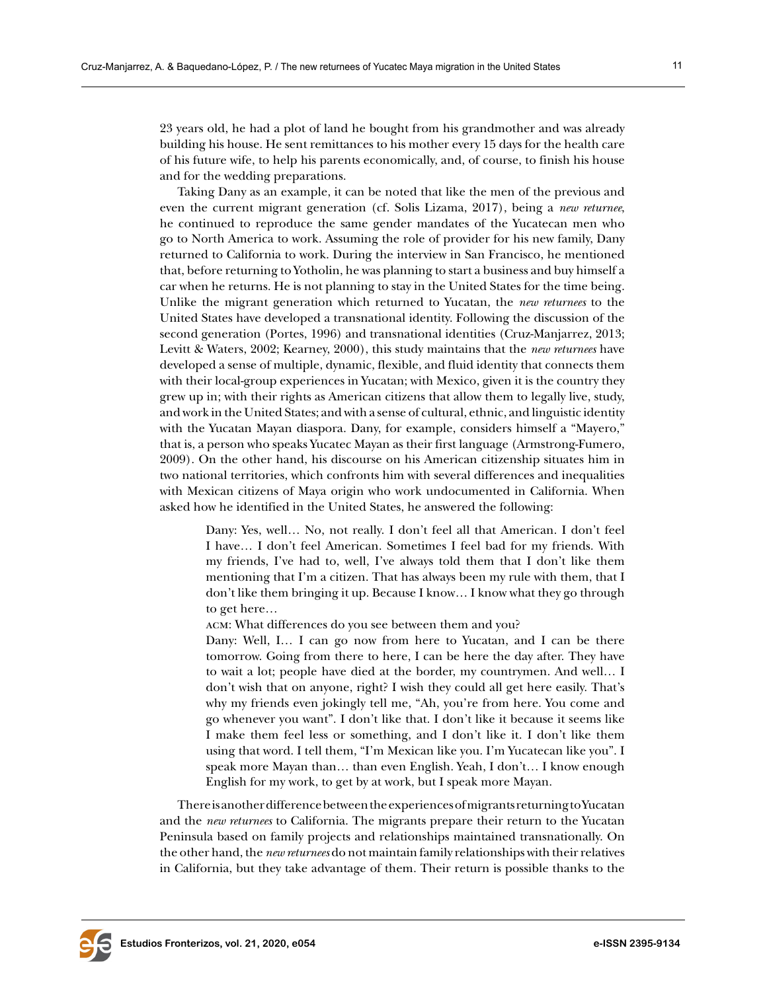23 years old, he had a plot of land he bought from his grandmother and was already building his house. He sent remittances to his mother every 15 days for the health care of his future wife, to help his parents economically, and, of course, to finish his house and for the wedding preparations.

Taking Dany as an example, it can be noted that like the men of the previous and even the current migrant generation (cf. Solis Lizama, 2017), being a *new returnee*, he continued to reproduce the same gender mandates of the Yucatecan men who go to North America to work. Assuming the role of provider for his new family, Dany returned to California to work. During the interview in San Francisco, he mentioned that, before returning to Yotholin, he was planning to start a business and buy himself a car when he returns. He is not planning to stay in the United States for the time being. Unlike the migrant generation which returned to Yucatan, the *new returnees* to the United States have developed a transnational identity. Following the discussion of the second generation (Portes, 1996) and transnational identities (Cruz-Manjarrez, 2013; Levitt & Waters, 2002; Kearney, 2000), this study maintains that the *new returnees* have developed a sense of multiple, dynamic, flexible, and fluid identity that connects them with their local-group experiences in Yucatan; with Mexico, given it is the country they grew up in; with their rights as American citizens that allow them to legally live, study, and work in the United States; and with a sense of cultural, ethnic, and linguistic identity with the Yucatan Mayan diaspora. Dany, for example, considers himself a "Mayero," that is, a person who speaks Yucatec Mayan as their first language (Armstrong-Fumero, 2009). On the other hand, his discourse on his American citizenship situates him in two national territories, which confronts him with several differences and inequalities with Mexican citizens of Maya origin who work undocumented in California. When asked how he identified in the United States, he answered the following:

Dany: Yes, well… No, not really. I don't feel all that American. I don't feel I have… I don't feel American. Sometimes I feel bad for my friends. With my friends, I've had to, well, I've always told them that I don't like them mentioning that I'm a citizen. That has always been my rule with them, that I don't like them bringing it up. Because I know… I know what they go through to get here…

acm: What differences do you see between them and you?

Dany: Well, I… I can go now from here to Yucatan, and I can be there tomorrow. Going from there to here, I can be here the day after. They have to wait a lot; people have died at the border, my countrymen. And well… I don't wish that on anyone, right? I wish they could all get here easily. That's why my friends even jokingly tell me, "Ah, you're from here. You come and go whenever you want". I don't like that. I don't like it because it seems like I make them feel less or something, and I don't like it. I don't like them using that word. I tell them, "I'm Mexican like you. I'm Yucatecan like you". I speak more Mayan than… than even English. Yeah, I don't… I know enough English for my work, to get by at work, but I speak more Mayan.

There is another difference between the experiences of migrants returning to Yucatan and the *new returnees* to California. The migrants prepare their return to the Yucatan Peninsula based on family projects and relationships maintained transnationally. On the other hand, the *new returnees* do not maintain family relationships with their relatives in California, but they take advantage of them. Their return is possible thanks to the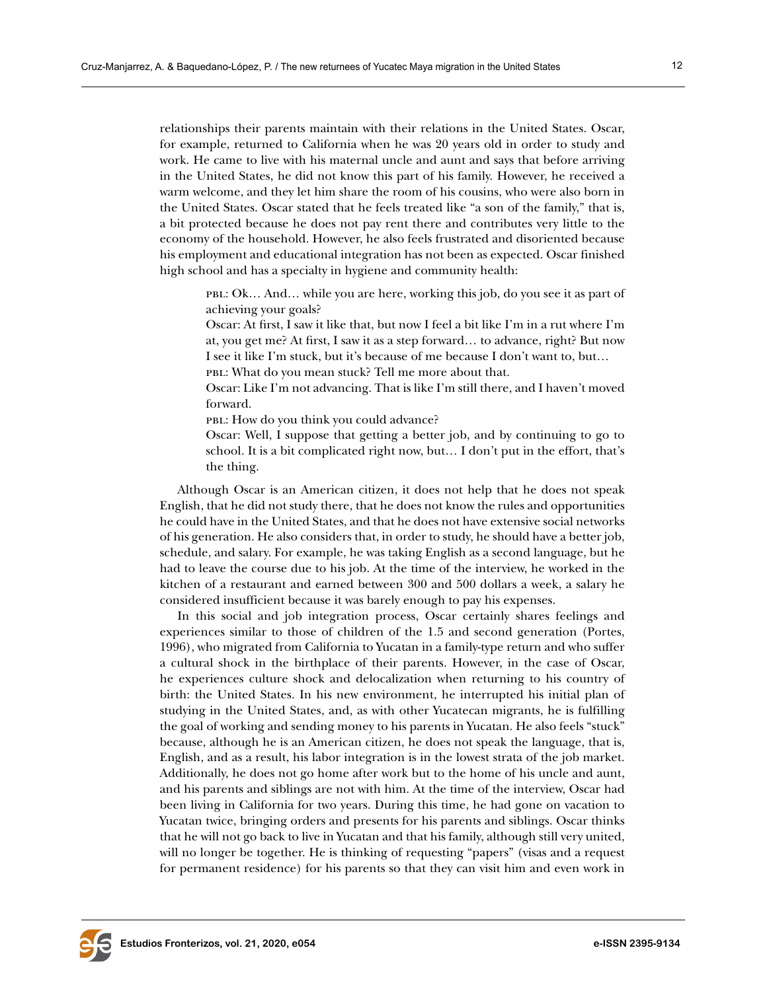relationships their parents maintain with their relations in the United States. Oscar, for example, returned to California when he was 20 years old in order to study and work. He came to live with his maternal uncle and aunt and says that before arriving in the United States, he did not know this part of his family. However, he received a warm welcome, and they let him share the room of his cousins, who were also born in the United States. Oscar stated that he feels treated like "a son of the family," that is, a bit protected because he does not pay rent there and contributes very little to the economy of the household. However, he also feels frustrated and disoriented because his employment and educational integration has not been as expected. Oscar finished high school and has a specialty in hygiene and community health:

pbl: Ok… And… while you are here, working this job, do you see it as part of achieving your goals?

Oscar: At first, I saw it like that, but now I feel a bit like I'm in a rut where I'm at, you get me? At first, I saw it as a step forward… to advance, right? But now I see it like I'm stuck, but it's because of me because I don't want to, but…

pbl: What do you mean stuck? Tell me more about that.

Oscar: Like I'm not advancing. That is like I'm still there, and I haven't moved forward.

pbl: How do you think you could advance?

Oscar: Well, I suppose that getting a better job, and by continuing to go to school. It is a bit complicated right now, but… I don't put in the effort, that's the thing.

Although Oscar is an American citizen, it does not help that he does not speak English, that he did not study there, that he does not know the rules and opportunities he could have in the United States, and that he does not have extensive social networks of his generation. He also considers that, in order to study, he should have a better job, schedule, and salary. For example, he was taking English as a second language, but he had to leave the course due to his job. At the time of the interview, he worked in the kitchen of a restaurant and earned between 300 and 500 dollars a week, a salary he considered insufficient because it was barely enough to pay his expenses.

In this social and job integration process, Oscar certainly shares feelings and experiences similar to those of children of the 1.5 and second generation (Portes, 1996), who migrated from California to Yucatan in a family-type return and who suffer a cultural shock in the birthplace of their parents. However, in the case of Oscar, he experiences culture shock and delocalization when returning to his country of birth: the United States. In his new environment, he interrupted his initial plan of studying in the United States, and, as with other Yucatecan migrants, he is fulfilling the goal of working and sending money to his parents in Yucatan. He also feels "stuck" because, although he is an American citizen, he does not speak the language, that is, English, and as a result, his labor integration is in the lowest strata of the job market. Additionally, he does not go home after work but to the home of his uncle and aunt, and his parents and siblings are not with him. At the time of the interview, Oscar had been living in California for two years. During this time, he had gone on vacation to Yucatan twice, bringing orders and presents for his parents and siblings. Oscar thinks that he will not go back to live in Yucatan and that his family, although still very united, will no longer be together. He is thinking of requesting "papers" (visas and a request for permanent residence) for his parents so that they can visit him and even work in

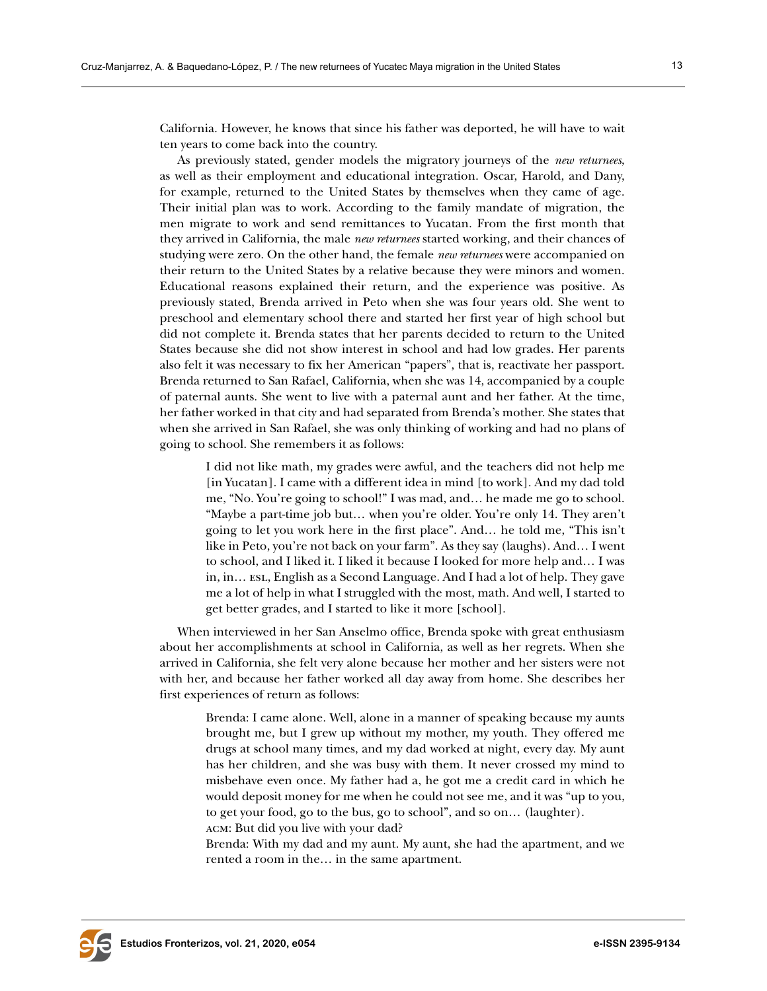California. However, he knows that since his father was deported, he will have to wait ten years to come back into the country.

As previously stated, gender models the migratory journeys of the *new returnees*, as well as their employment and educational integration. Oscar, Harold, and Dany, for example, returned to the United States by themselves when they came of age. Their initial plan was to work. According to the family mandate of migration, the men migrate to work and send remittances to Yucatan. From the first month that they arrived in California, the male *new returnees* started working, and their chances of studying were zero. On the other hand, the female *new returnees* were accompanied on their return to the United States by a relative because they were minors and women. Educational reasons explained their return, and the experience was positive. As previously stated, Brenda arrived in Peto when she was four years old. She went to preschool and elementary school there and started her first year of high school but did not complete it. Brenda states that her parents decided to return to the United States because she did not show interest in school and had low grades. Her parents also felt it was necessary to fix her American "papers", that is, reactivate her passport. Brenda returned to San Rafael, California, when she was 14, accompanied by a couple of paternal aunts. She went to live with a paternal aunt and her father. At the time, her father worked in that city and had separated from Brenda's mother. She states that when she arrived in San Rafael, she was only thinking of working and had no plans of going to school. She remembers it as follows:

I did not like math, my grades were awful, and the teachers did not help me [in Yucatan]. I came with a different idea in mind [to work]. And my dad told me, "No. You're going to school!" I was mad, and… he made me go to school. "Maybe a part-time job but… when you're older. You're only 14. They aren't going to let you work here in the first place". And… he told me, "This isn't like in Peto, you're not back on your farm". As they say (laughs). And… I went to school, and I liked it. I liked it because I looked for more help and… I was in, in… esl, English as a Second Language. And I had a lot of help. They gave me a lot of help in what I struggled with the most, math. And well, I started to get better grades, and I started to like it more [school].

When interviewed in her San Anselmo office, Brenda spoke with great enthusiasm about her accomplishments at school in California, as well as her regrets. When she arrived in California, she felt very alone because her mother and her sisters were not with her, and because her father worked all day away from home. She describes her first experiences of return as follows:

Brenda: I came alone. Well, alone in a manner of speaking because my aunts brought me, but I grew up without my mother, my youth. They offered me drugs at school many times, and my dad worked at night, every day. My aunt has her children, and she was busy with them. It never crossed my mind to misbehave even once. My father had a, he got me a credit card in which he would deposit money for me when he could not see me, and it was "up to you, to get your food, go to the bus, go to school", and so on… (laughter). acm: But did you live with your dad?

Brenda: With my dad and my aunt. My aunt, she had the apartment, and we rented a room in the… in the same apartment.

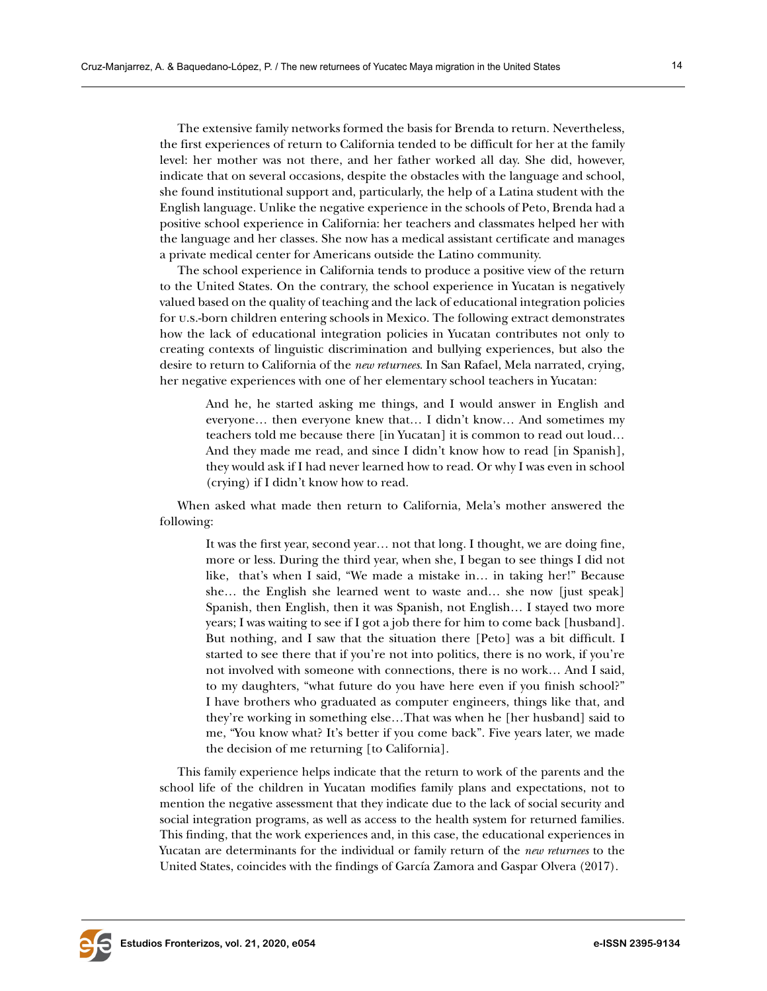The extensive family networks formed the basis for Brenda to return. Nevertheless, the first experiences of return to California tended to be difficult for her at the family level: her mother was not there, and her father worked all day. She did, however, indicate that on several occasions, despite the obstacles with the language and school, she found institutional support and, particularly, the help of a Latina student with the English language. Unlike the negative experience in the schools of Peto, Brenda had a positive school experience in California: her teachers and classmates helped her with the language and her classes. She now has a medical assistant certificate and manages a private medical center for Americans outside the Latino community.

The school experience in California tends to produce a positive view of the return to the United States. On the contrary, the school experience in Yucatan is negatively valued based on the quality of teaching and the lack of educational integration policies for u.s.-born children entering schools in Mexico. The following extract demonstrates how the lack of educational integration policies in Yucatan contributes not only to creating contexts of linguistic discrimination and bullying experiences, but also the desire to return to California of the *new returnees*. In San Rafael, Mela narrated, crying, her negative experiences with one of her elementary school teachers in Yucatan:

And he, he started asking me things, and I would answer in English and everyone… then everyone knew that… I didn't know… And sometimes my teachers told me because there [in Yucatan] it is common to read out loud… And they made me read, and since I didn't know how to read [in Spanish], they would ask if I had never learned how to read. Or why I was even in school (crying) if I didn't know how to read.

When asked what made then return to California, Mela's mother answered the following:

It was the first year, second year… not that long. I thought, we are doing fine, more or less. During the third year, when she, I began to see things I did not like, that's when I said, "We made a mistake in… in taking her!" Because she… the English she learned went to waste and… she now [just speak] Spanish, then English, then it was Spanish, not English… I stayed two more years; I was waiting to see if I got a job there for him to come back [husband]. But nothing, and I saw that the situation there [Peto] was a bit difficult. I started to see there that if you're not into politics, there is no work, if you're not involved with someone with connections, there is no work… And I said, to my daughters, "what future do you have here even if you finish school?" I have brothers who graduated as computer engineers, things like that, and they're working in something else…That was when he [her husband] said to me, "You know what? It's better if you come back". Five years later, we made the decision of me returning [to California].

This family experience helps indicate that the return to work of the parents and the school life of the children in Yucatan modifies family plans and expectations, not to mention the negative assessment that they indicate due to the lack of social security and social integration programs, as well as access to the health system for returned families. This finding, that the work experiences and, in this case, the educational experiences in Yucatan are determinants for the individual or family return of the *new returnees* to the United States, coincides with the findings of García Zamora and Gaspar Olvera (2017).

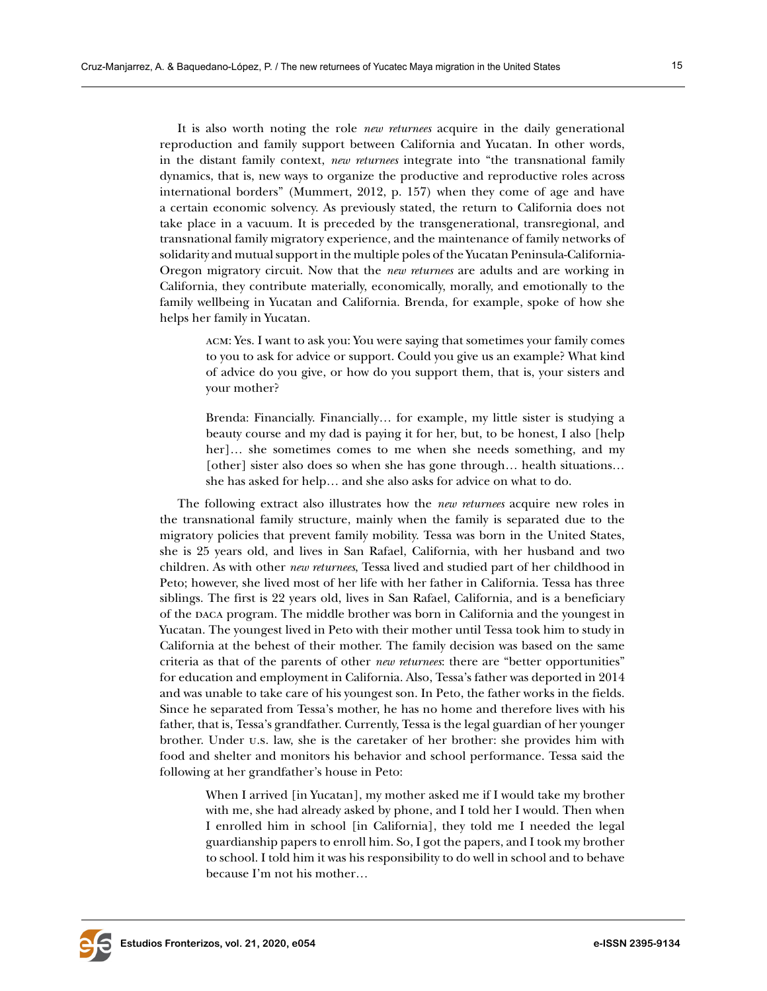It is also worth noting the role *new returnees* acquire in the daily generational reproduction and family support between California and Yucatan. In other words, in the distant family context, *new returnees* integrate into "the transnational family dynamics, that is, new ways to organize the productive and reproductive roles across international borders" (Mummert, 2012, p. 157) when they come of age and have a certain economic solvency. As previously stated, the return to California does not take place in a vacuum. It is preceded by the transgenerational, transregional, and transnational family migratory experience, and the maintenance of family networks of solidarity and mutual support in the multiple poles of the Yucatan Peninsula-California-Oregon migratory circuit. Now that the *new returnees* are adults and are working in California, they contribute materially, economically, morally, and emotionally to the family wellbeing in Yucatan and California. Brenda, for example, spoke of how she helps her family in Yucatan.

acm: Yes. I want to ask you: You were saying that sometimes your family comes to you to ask for advice or support. Could you give us an example? What kind of advice do you give, or how do you support them, that is, your sisters and your mother?

Brenda: Financially. Financially… for example, my little sister is studying a beauty course and my dad is paying it for her, but, to be honest, I also [help her]… she sometimes comes to me when she needs something, and my [other] sister also does so when she has gone through… health situations… she has asked for help… and she also asks for advice on what to do.

The following extract also illustrates how the *new returnees* acquire new roles in the transnational family structure, mainly when the family is separated due to the migratory policies that prevent family mobility. Tessa was born in the United States, she is 25 years old, and lives in San Rafael, California, with her husband and two children. As with other *new returnees*, Tessa lived and studied part of her childhood in Peto; however, she lived most of her life with her father in California. Tessa has three siblings. The first is 22 years old, lives in San Rafael, California, and is a beneficiary of the daca program. The middle brother was born in California and the youngest in Yucatan. The youngest lived in Peto with their mother until Tessa took him to study in California at the behest of their mother. The family decision was based on the same criteria as that of the parents of other *new returnees*: there are "better opportunities" for education and employment in California. Also, Tessa's father was deported in 2014 and was unable to take care of his youngest son. In Peto, the father works in the fields. Since he separated from Tessa's mother, he has no home and therefore lives with his father, that is, Tessa's grandfather. Currently, Tessa is the legal guardian of her younger brother. Under u.s. law, she is the caretaker of her brother: she provides him with food and shelter and monitors his behavior and school performance. Tessa said the following at her grandfather's house in Peto:

When I arrived [in Yucatan], my mother asked me if I would take my brother with me, she had already asked by phone, and I told her I would. Then when I enrolled him in school [in California], they told me I needed the legal guardianship papers to enroll him. So, I got the papers, and I took my brother to school. I told him it was his responsibility to do well in school and to behave because I'm not his mother…

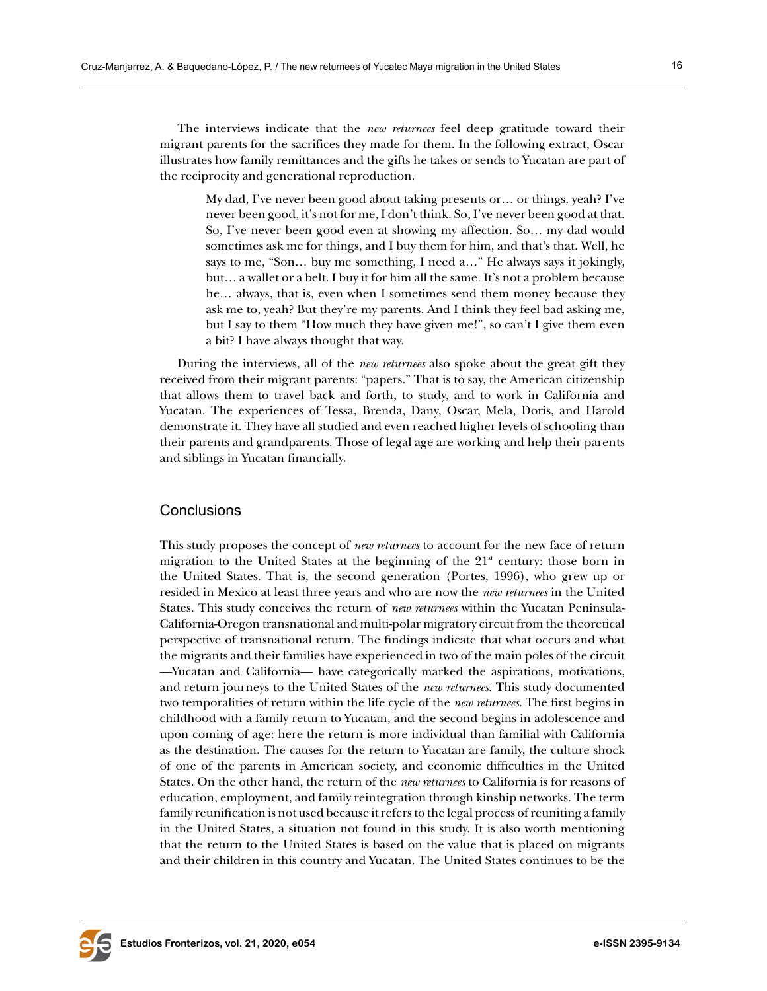The interviews indicate that the *new returnees* feel deep gratitude toward their migrant parents for the sacrifices they made for them. In the following extract, Oscar illustrates how family remittances and the gifts he takes or sends to Yucatan are part of the reciprocity and generational reproduction.

My dad, I've never been good about taking presents or… or things, yeah? I've never been good, it's not for me, I don't think. So, I've never been good at that. So, I've never been good even at showing my affection. So… my dad would sometimes ask me for things, and I buy them for him, and that's that. Well, he says to me, "Son… buy me something, I need a…" He always says it jokingly, but… a wallet or a belt. I buy it for him all the same. It's not a problem because he… always, that is, even when I sometimes send them money because they ask me to, yeah? But they're my parents. And I think they feel bad asking me, but I say to them "How much they have given me!", so can't I give them even a bit? I have always thought that way.

During the interviews, all of the *new returnees* also spoke about the great gift they received from their migrant parents: "papers." That is to say, the American citizenship that allows them to travel back and forth, to study, and to work in California and Yucatan. The experiences of Tessa, Brenda, Dany, Oscar, Mela, Doris, and Harold demonstrate it. They have all studied and even reached higher levels of schooling than their parents and grandparents. Those of legal age are working and help their parents and siblings in Yucatan financially.

## **Conclusions**

This study proposes the concept of *new returnees* to account for the new face of return migration to the United States at the beginning of the  $21<sup>st</sup>$  century: those born in the United States. That is, the second generation (Portes, 1996), who grew up or resided in Mexico at least three years and who are now the *new returnees* in the United States. This study conceives the return of *new returnees* within the Yucatan Peninsula-California-Oregon transnational and multi-polar migratory circuit from the theoretical perspective of transnational return. The findings indicate that what occurs and what the migrants and their families have experienced in two of the main poles of the circuit —Yucatan and California— have categorically marked the aspirations, motivations, and return journeys to the United States of the *new returnees*. This study documented two temporalities of return within the life cycle of the *new returnees*. The first begins in childhood with a family return to Yucatan, and the second begins in adolescence and upon coming of age: here the return is more individual than familial with California as the destination. The causes for the return to Yucatan are family, the culture shock of one of the parents in American society, and economic difficulties in the United States. On the other hand, the return of the *new returnees* to California is for reasons of education, employment, and family reintegration through kinship networks. The term family reunification is not used because it refers to the legal process of reuniting a family in the United States, a situation not found in this study. It is also worth mentioning that the return to the United States is based on the value that is placed on migrants and their children in this country and Yucatan. The United States continues to be the

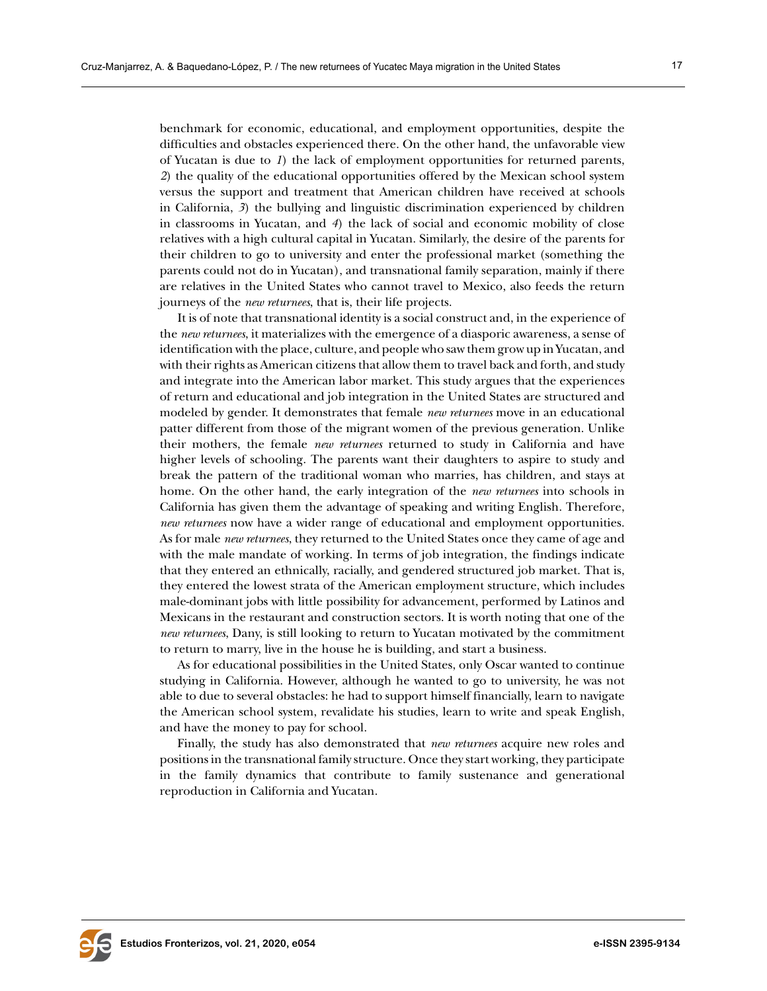benchmark for economic, educational, and employment opportunities, despite the difficulties and obstacles experienced there. On the other hand, the unfavorable view of Yucatan is due to *1*) the lack of employment opportunities for returned parents, *2*) the quality of the educational opportunities offered by the Mexican school system versus the support and treatment that American children have received at schools in California, *3*) the bullying and linguistic discrimination experienced by children in classrooms in Yucatan, and *4*) the lack of social and economic mobility of close relatives with a high cultural capital in Yucatan. Similarly, the desire of the parents for their children to go to university and enter the professional market (something the parents could not do in Yucatan), and transnational family separation, mainly if there are relatives in the United States who cannot travel to Mexico, also feeds the return journeys of the *new returnees*, that is, their life projects.

It is of note that transnational identity is a social construct and, in the experience of the *new returnees*, it materializes with the emergence of a diasporic awareness, a sense of identification with the place, culture, and people who saw them grow up in Yucatan, and with their rights as American citizens that allow them to travel back and forth, and study and integrate into the American labor market. This study argues that the experiences of return and educational and job integration in the United States are structured and modeled by gender. It demonstrates that female *new returnees* move in an educational patter different from those of the migrant women of the previous generation. Unlike their mothers, the female *new returnees* returned to study in California and have higher levels of schooling. The parents want their daughters to aspire to study and break the pattern of the traditional woman who marries, has children, and stays at home. On the other hand, the early integration of the *new returnees* into schools in California has given them the advantage of speaking and writing English. Therefore, *new returnees* now have a wider range of educational and employment opportunities. As for male *new returnees*, they returned to the United States once they came of age and with the male mandate of working. In terms of job integration, the findings indicate that they entered an ethnically, racially, and gendered structured job market. That is, they entered the lowest strata of the American employment structure, which includes male-dominant jobs with little possibility for advancement, performed by Latinos and Mexicans in the restaurant and construction sectors. It is worth noting that one of the *new returnees*, Dany, is still looking to return to Yucatan motivated by the commitment to return to marry, live in the house he is building, and start a business.

As for educational possibilities in the United States, only Oscar wanted to continue studying in California. However, although he wanted to go to university, he was not able to due to several obstacles: he had to support himself financially, learn to navigate the American school system, revalidate his studies, learn to write and speak English, and have the money to pay for school.

Finally, the study has also demonstrated that *new returnees* acquire new roles and positions in the transnational family structure. Once they start working, they participate in the family dynamics that contribute to family sustenance and generational reproduction in California and Yucatan.

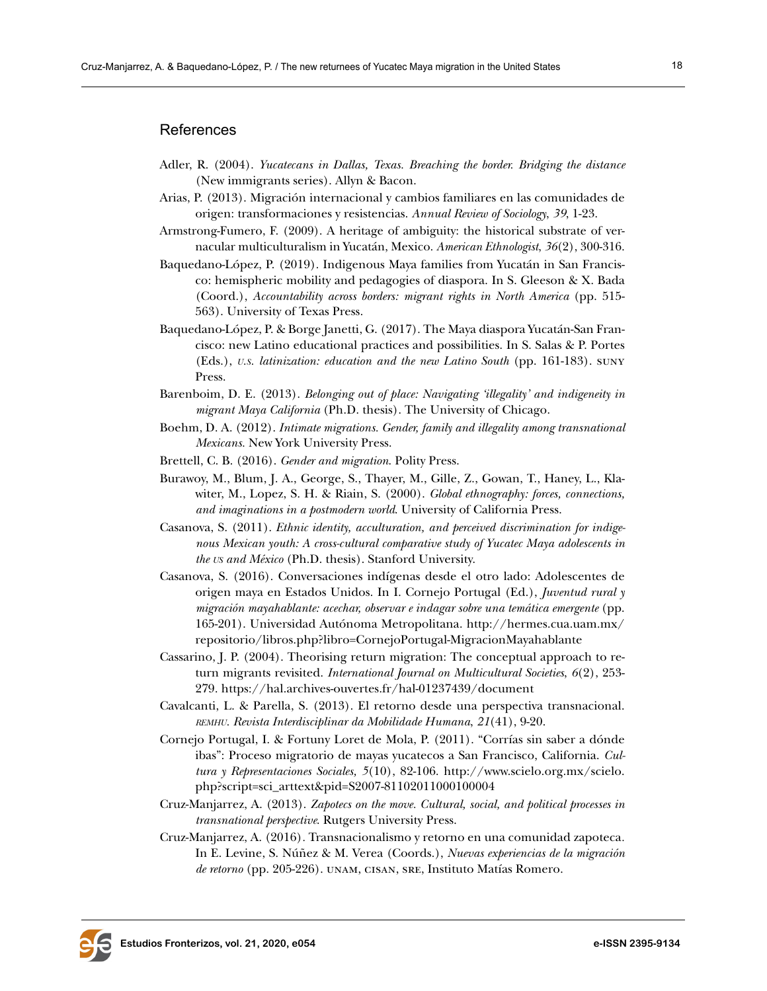#### References

- Adler, R. (2004). *Yucatecans in Dallas, Texas. Breaching the border. Bridging the distance* (New immigrants series). Allyn & Bacon.
- Arias, P. (2013). Migración internacional y cambios familiares en las comunidades de origen: transformaciones y resistencias. *Annual Review of Sociology*, *39*, 1-23.
- Armstrong-Fumero, F. (2009). A heritage of ambiguity: the historical substrate of vernacular multiculturalism in Yucatán, Mexico. *American Ethnologist*, *36*(2), 300-316.
- Baquedano-López, P. (2019). Indigenous Maya families from Yucatán in San Francisco: hemispheric mobility and pedagogies of diaspora. In S. Gleeson & X. Bada (Coord.), *Accountability across borders: migrant rights in North America* (pp. 515- 563). University of Texas Press.
- Baquedano-López, P. & Borge Janetti, G. (2017). The Maya diaspora Yucatán-San Francisco: new Latino educational practices and possibilities. In S. Salas & P. Portes (Eds.), *u.s. latinization: education and the new Latino South* (pp. 161-183). suny Press.
- Barenboim, D. E. (2013). *Belonging out of place: Navigating 'illegality' and indigeneity in migrant Maya California* (Ph.D. thesis). The University of Chicago.
- Boehm, D. A. (2012). *Intimate migrations. Gender, family and illegality among transnational Mexicans.* New York University Press.
- Brettell, C. B. (2016). *Gender and migration*. Polity Press.
- Burawoy, M., Blum, J. A., George, S., Thayer, M., Gille, Z., Gowan, T., Haney, L., Klawiter, M., Lopez, S. H. & Riain, S. (2000). *Global ethnography: forces, connections, and imaginations in a postmodern world*. University of California Press.
- Casanova, S. (2011). *Ethnic identity, acculturation, and perceived discrimination for indigenous Mexican youth: A cross-cultural comparative study of Yucatec Maya adolescents in the us and México* (Ph.D. thesis). Stanford University.
- Casanova, S. (2016). Conversaciones indígenas desde el otro lado: Adolescentes de origen maya en Estados Unidos. In I. Cornejo Portugal (Ed.), *Juventud rural y migración mayahablante: acechar, observar e indagar sobre una temática emergente* (pp. 165-201). Universidad Autónoma Metropolitana. [http://hermes.cua.uam.mx/](http://hermes.cua.uam.mx/repositorio/libros.php%3Flibro%3DCornejoPortugal-MigracionMayahablante) [repositorio/libros.php?libro=CornejoPortugal-MigracionMayahablante](http://hermes.cua.uam.mx/repositorio/libros.php%3Flibro%3DCornejoPortugal-MigracionMayahablante)
- Cassarino, J. P. (2004). Theorising return migration: The conceptual approach to return migrants revisited. *International Journal on Multicultural Societies*, *6*(2), 253- 279. <https://hal.archives-ouvertes.fr/hal-01237439/document>
- Cavalcanti, L. & Parella, S. (2013). El retorno desde una perspectiva transnacional. *remhu. Revista Interdisciplinar da Mobilidade Humana*, *21*(41), 9-20.
- Cornejo Portugal, I. & Fortuny Loret de Mola, P. (2011). "Corrías sin saber a dónde ibas": Proceso migratorio de mayas yucatecos a San Francisco, California. *Cultura y Representaciones Sociales, 5*(10), 82-106. [http://www.scielo.org.mx/scielo.](http://www.scielo.org.mx/scielo.php?script=sci_arttext&pid=S2007-81102011000100004 ) [php?script=sci\\_arttext&pid=S2007-81102011000100004](http://www.scielo.org.mx/scielo.php?script=sci_arttext&pid=S2007-81102011000100004 )
- Cruz-Manjarrez, A. (2013). *Zapotecs on the move. Cultural, social, and political processes in transnational perspective*. Rutgers University Press.
- Cruz-Manjarrez, A. (2016)*.* Transnacionalismo y retorno en una comunidad zapoteca*.*  In E. Levine, S. Núñez & M. Verea (Coords.), *Nuevas experiencias de la migración de retorno* (pp. 205-226). unam, cisan, sre, Instituto Matías Romero.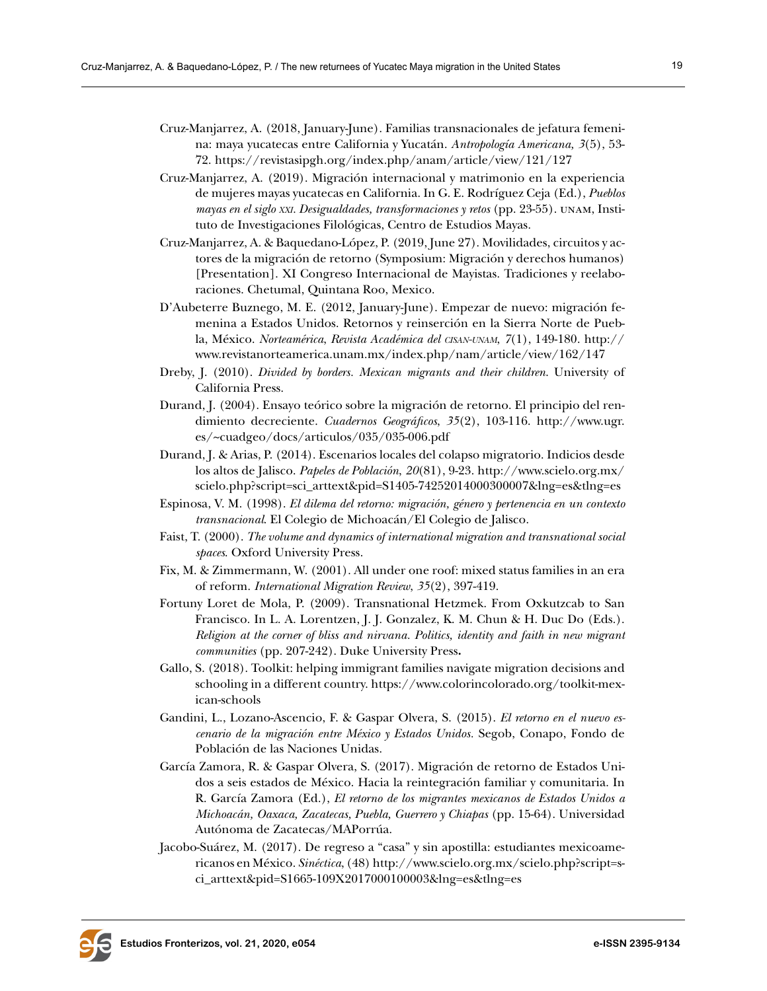- Cruz-Manjarrez, A. (2018, January-June). Familias transnacionales de jefatura femenina: maya yucatecas entre California y Yucatán. *Antropología Americana, 3*(5), 53- 72. <https://revistasipgh.org/index.php/anam/article/view/121/127>
- Cruz-Manjarrez, A. (2019). Migración internacional y matrimonio en la experiencia de mujeres mayas yucatecas en California. In G. E. Rodríguez Ceja (Ed.), *Pueblos mayas en el siglo xxi. Desigualdades, transformaciones y retos* (pp. 23-55). unam, Instituto de Investigaciones Filológicas, Centro de Estudios Mayas.
- Cruz-Manjarrez, A. & Baquedano-López, P. (2019, June 27). Movilidades, circuitos y actores de la migración de retorno (Symposium: Migración y derechos humanos) [Presentation]. XI Congreso Internacional de Mayistas. Tradiciones y reelaboraciones. Chetumal, Quintana Roo, Mexico.
- D'Aubeterre Buznego, M. E. (2012, January-June). Empezar de nuevo: migración femenina a Estados Unidos. Retornos y reinserción en la Sierra Norte de Puebla, México. *Norteamérica*, *Revista Académica del cisan-unam*, *7*(1), 149-180. [http://](http://www.revistanorteamerica.unam.mx/index.php/nam/article/view/162/147) [www.revistanorteamerica.unam.mx/index.php/nam/article/view/162/147](http://www.revistanorteamerica.unam.mx/index.php/nam/article/view/162/147)
- Dreby, J. (2010). *Divided by borders. Mexican migrants and their children*. University of California Press.
- Durand, J. (2004). Ensayo teórico sobre la migración de retorno. El principio del rendimiento decreciente. *Cuadernos Geográficos*, *35*(2), 103-116. [http://www.ugr.](http://www.ugr.es/~cuadgeo/docs/articulos/035/035-006.pdf) [es/~cuadgeo/docs/articulos/035/035-006.pdf](http://www.ugr.es/~cuadgeo/docs/articulos/035/035-006.pdf)
- Durand, J. & Arias, P. (2014). Escenarios locales del colapso migratorio. Indicios desde los altos de Jalisco. *Papeles de Población*, *20*(81), 9-23. [http://www.scielo.org.mx/](http://www.scielo.org.mx/scielo.php?script=sci_arttext&pid=S1405-74252014000300007&lng=es&tlng=es) [scielo.php?script=sci\\_arttext&pid=S1405-74252014000300007&lng=es&tlng=es](http://www.scielo.org.mx/scielo.php?script=sci_arttext&pid=S1405-74252014000300007&lng=es&tlng=es)
- Espinosa, V. M. (1998). *El dilema del retorno: migración, género y pertenencia en un contexto transnacional*. El Colegio de Michoacán/El Colegio de Jalisco.
- Faist, T. (2000). *The volume and dynamics of international migration and transnational social spaces*. Oxford University Press.
- Fix, M. & Zimmermann, W. (2001). All under one roof: mixed status families in an era of reform. *International Migration Review*, *35*(2), 397-419.
- Fortuny Loret de Mola, P. (2009). Transnational Hetzmek. From Oxkutzcab to San Francisco. In L. A. Lorentzen, J. J. Gonzalez, K. M. Chun & H. Duc Do (Eds.). *Religion at the corner of bliss and nirvana. Politics, identity and faith in new migrant communities* (pp. 207-242). Duke University Press**.**
- Gallo, S. (2018). Toolkit: helping immigrant families navigate migration decisions and schooling in a different country. [https://www.colorincolorado.org/toolkit-mex](https://www.colorincolorado.org/toolkit-mexican-schools)[ican-schools](https://www.colorincolorado.org/toolkit-mexican-schools)
- Gandini, L., Lozano-Ascencio, F. & Gaspar Olvera, S. (2015). *El retorno en el nuevo escenario de la migración entre México y Estados Unidos.* Segob, Conapo, Fondo de Población de las Naciones Unidas.
- García Zamora, R. & Gaspar Olvera, S. (2017). Migración de retorno de Estados Unidos a seis estados de México. Hacia la reintegración familiar y comunitaria. In R. García Zamora (Ed.), *El retorno de los migrantes mexicanos de Estados Unidos a Michoacán, Oaxaca, Zacatecas, Puebla, Guerrero y Chiapas* (pp. 15-64). Universidad Autónoma de Zacatecas/MAPorrúa.
- Jacobo-Suárez, M. (2017). De regreso a "casa" y sin apostilla: estudiantes mexicoamericanos en México. *Sinéctica*, (48) [http://www.scielo.org.mx/scielo.php?script=s](http://www.scielo.org.mx/scielo.php?script=sci_arttext&pid=S1665-109X2017000100003&lng=es&tlng=es)[ci\\_arttext&pid=S1665-109X2017000100003&lng=es&tlng=es](http://www.scielo.org.mx/scielo.php?script=sci_arttext&pid=S1665-109X2017000100003&lng=es&tlng=es)

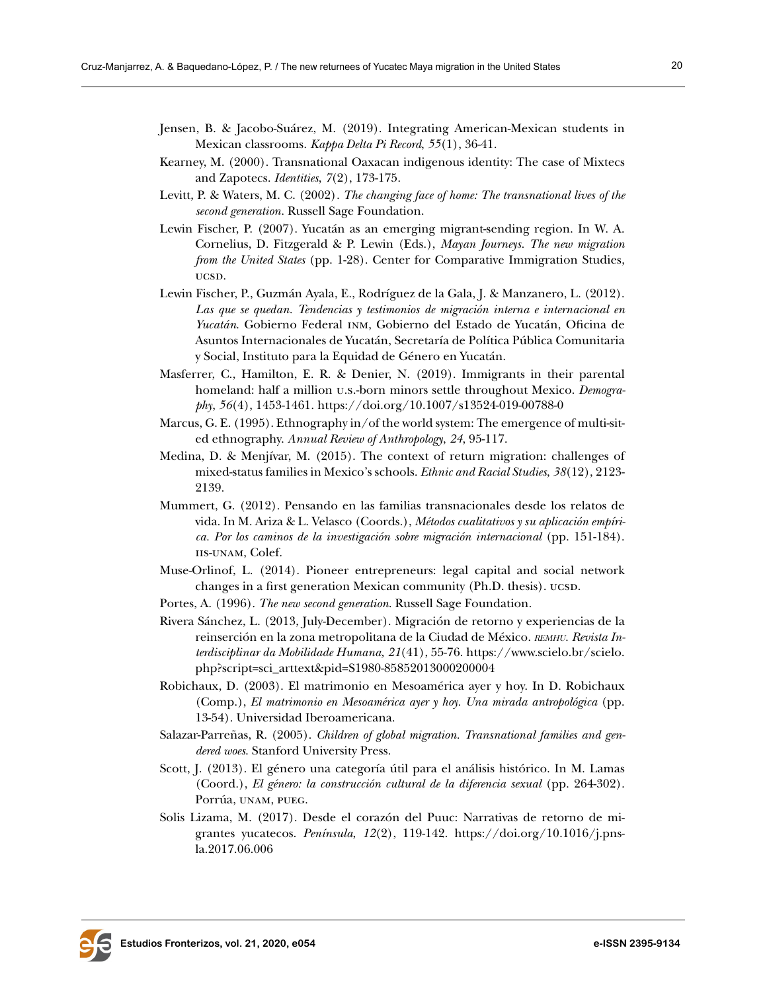- Jensen, B. & Jacobo-Suárez, M. (2019). Integrating American-Mexican students in Mexican classrooms. *Kappa Delta Pi Record*, *55*(1), 36-41.
- Kearney, M. (2000). Transnational Oaxacan indigenous identity: The case of Mixtecs and Zapotecs. *Identities*, *7*(2), 173-175.
- Levitt, P. & Waters, M. C. (2002)*. The changing face of home: The transnational lives of the second generation.* Russell Sage Foundation.
- Lewin Fischer, P. (2007). Yucatán as an emerging migrant-sending region. In W. A. Cornelius, D. Fitzgerald & P. Lewin (Eds.), *Mayan Journeys. The new migration from the United States* (pp. 1-28). Center for Comparative Immigration Studies, ucs<sub>D</sub>.
- Lewin Fischer, P., Guzmán Ayala, E., Rodríguez de la Gala, J. & Manzanero, L. (2012). *Las que se quedan. Tendencias y testimonios de migración interna e internacional en Yucatán*. Gobierno Federal inm, Gobierno del Estado de Yucatán, Oficina de Asuntos Internacionales de Yucatán, Secretaría de Política Pública Comunitaria y Social, Instituto para la Equidad de Género en Yucatán.
- Masferrer, C., Hamilton, E. R. & Denier, N. (2019). Immigrants in their parental homeland: half a million u.s.-born minors settle throughout Mexico. *Demography*, *56*(4), 1453-1461. <https://doi.org/10.1007/s13524-019-00788-0>
- Marcus, G. E. (1995). Ethnography in/of the world system: The emergence of multi-sited ethnography. *Annual Review of Anthropology*, *24*, 95-117.
- Medina, D. & Menjívar, M. (2015). The context of return migration: challenges of mixed-status families in Mexico's schools. *Ethnic and Racial Studies*, *38*(12), 2123- 2139.
- Mummert, G. (2012). Pensando en las familias transnacionales desde los relatos de vida. In M. Ariza & L. Velasco (Coords.), *Métodos cualitativos y su aplicación empírica. Por los caminos de la investigación sobre migración internacional* (pp. 151-184). IIS-UNAM, Colef.
- Muse-Orlinof, L. (2014). Pioneer entrepreneurs: legal capital and social network changes in a first generation Mexican community (Ph.D. thesis). ucsp.
- Portes, A. (1996). *The new second generation*. Russell Sage Foundation.
- Rivera Sánchez, L. (2013, July-December). Migración de retorno y experiencias de la reinserción en la zona metropolitana de la Ciudad de México. *remhu. Revista Interdisciplinar da Mobilidade Humana, 21*(41), 55-76. [https://www.scielo.br/scielo.](https://www.scielo.br/scielo.php?script=sci_arttext&pid=S1980-85852013000200004) [php?script=sci\\_arttext&pid=S1980-85852013000200004](https://www.scielo.br/scielo.php?script=sci_arttext&pid=S1980-85852013000200004)
- Robichaux, D. (2003). El matrimonio en Mesoamérica ayer y hoy. In D. Robichaux (Comp.), *El matrimonio en Mesoamérica ayer y hoy. Una mirada antropológica* (pp. 13-54). Universidad Iberoamericana.
- Salazar-Parreñas, R. (2005). *Children of global migration. Transnational families and gendered woes*. Stanford University Press.
- Scott, J. (2013). El género una categoría útil para el análisis histórico. In M. Lamas (Coord.), *El género: la construcción cultural de la diferencia sexual* (pp. 264-302). Porrúa, unam, pueg.
- Solis Lizama, M. (2017). Desde el corazón del Puuc: Narrativas de retorno de migrantes yucatecos. *Península*, *12*(2), 119-142. [https://doi.org/10.1016/j.pns](https://doi.org/10.1016/j.pnsla.2017.06.006)[la.2017.06.006](https://doi.org/10.1016/j.pnsla.2017.06.006)

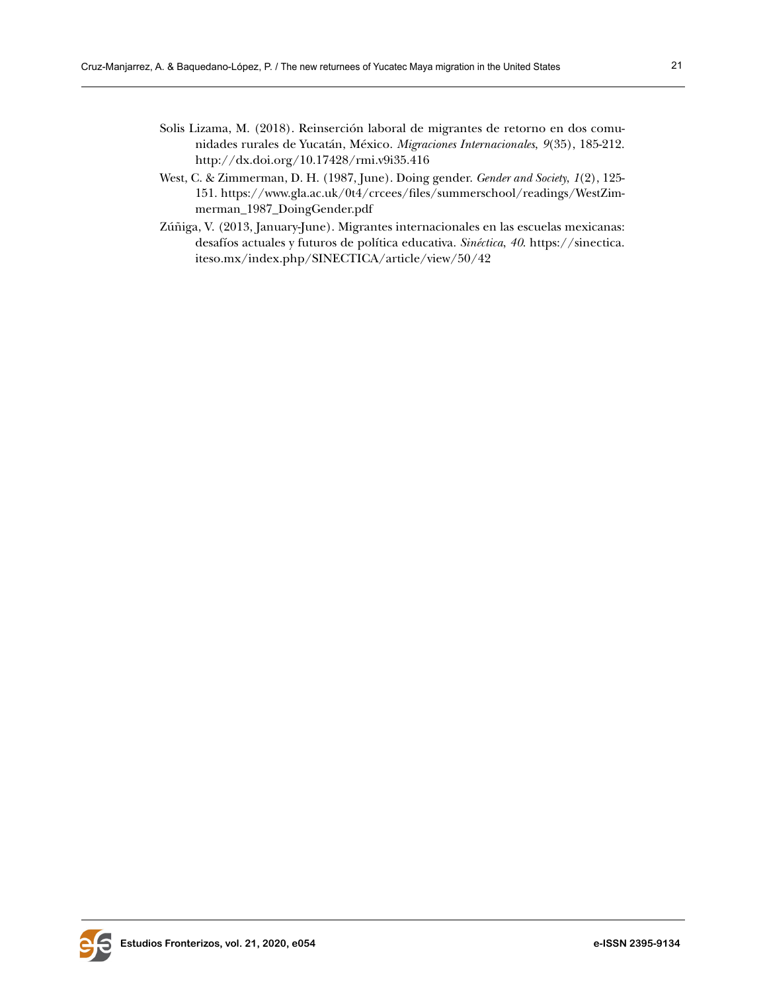- Solis Lizama, M. (2018). Reinserción laboral de migrantes de retorno en dos comunidades rurales de Yucatán, México. *Migraciones Internacionales*, *9*(35), 185-212. <http://dx.doi.org/10.17428/rmi.v9i35.416>
- West, C. & Zimmerman, D. H. (1987, June). Doing gender. *Gender and Society*, *1*(2), 125- 151. [https://www.gla.ac.uk/0t4/crcees/files/summerschool/readings/WestZim](https://www.gla.ac.uk/0t4/crcees/files/summerschool/readings/WestZimmerman_1987_DoingGender.pdf)[merman\\_1987\\_DoingGender.pdf](https://www.gla.ac.uk/0t4/crcees/files/summerschool/readings/WestZimmerman_1987_DoingGender.pdf)
- Zúñiga, V. (2013, January-June). Migrantes internacionales en las escuelas mexicanas: desafíos actuales y futuros de política educativa. *Sinéctica*, *40*. [https://sinectica.](https://sinectica.iteso.mx/index.php/SINECTICA/article/view/50/42) [iteso.mx/index.php/SINECTICA/article/view/50/42](https://sinectica.iteso.mx/index.php/SINECTICA/article/view/50/42)